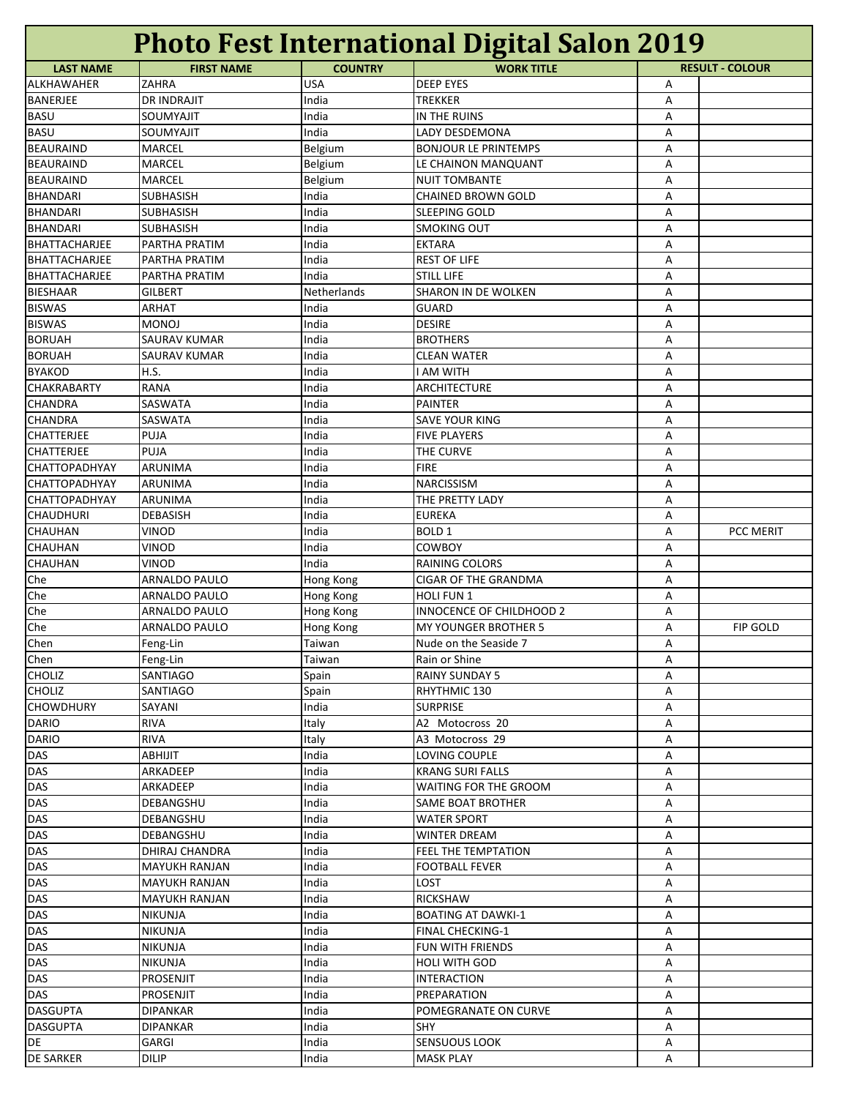| <b>Photo Fest International Digital Salon 2019</b> |                      |                |                             |   |                        |  |
|----------------------------------------------------|----------------------|----------------|-----------------------------|---|------------------------|--|
| <b>LAST NAME</b>                                   | <b>FIRST NAME</b>    | <b>COUNTRY</b> | <b>WORK TITLE</b>           |   | <b>RESULT - COLOUR</b> |  |
| <b>ALKHAWAHER</b>                                  | ZAHRA                | <b>USA</b>     | <b>DEEP EYES</b>            | Α |                        |  |
| <b>BANERJEE</b>                                    | <b>DR INDRAJIT</b>   | India          | TREKKER                     | А |                        |  |
| <b>BASU</b>                                        | SOUMYAJIT            | India          | IN THE RUINS                | А |                        |  |
| <b>BASU</b>                                        | SOUMYAJIT            | India          | LADY DESDEMONA              | А |                        |  |
| <b>BEAURAIND</b>                                   | MARCEL               | Belgium        | <b>BONJOUR LE PRINTEMPS</b> | А |                        |  |
| <b>BEAURAIND</b>                                   | MARCEL               | Belgium        | LE CHAINON MANQUANT         | А |                        |  |
| <b>BEAURAIND</b>                                   | MARCEL               | Belgium        | <b>NUIT TOMBANTE</b>        | А |                        |  |
| <b>BHANDARI</b>                                    | <b>SUBHASISH</b>     | India          | <b>CHAINED BROWN GOLD</b>   | Α |                        |  |
| <b>BHANDARI</b>                                    | <b>SUBHASISH</b>     | India          | <b>SLEEPING GOLD</b>        | А |                        |  |
| <b>BHANDARI</b>                                    | <b>SUBHASISH</b>     | India          | <b>SMOKING OUT</b>          | А |                        |  |
| BHATTACHARJEE                                      | PARTHA PRATIM        | India          | <b>EKTARA</b>               | Α |                        |  |
| <b>BHATTACHARJEE</b>                               | PARTHA PRATIM        | India          | <b>REST OF LIFE</b>         | А |                        |  |
| <b>BHATTACHARJEE</b>                               | PARTHA PRATIM        | India          | <b>STILL LIFE</b>           | А |                        |  |
| <b>BIESHAAR</b>                                    | <b>GILBERT</b>       | Netherlands    | <b>SHARON IN DE WOLKEN</b>  | Α |                        |  |
| <b>BISWAS</b>                                      | ARHAT                | India          | <b>GUARD</b>                | А |                        |  |
| <b>BISWAS</b>                                      | <b>MONOJ</b>         | India          | <b>DESIRE</b>               | Α |                        |  |
| <b>BORUAH</b>                                      | <b>SAURAV KUMAR</b>  | India          | <b>BROTHERS</b>             | А |                        |  |
| <b>BORUAH</b>                                      | SAURAV KUMAR         | India          | <b>CLEAN WATER</b>          | Α |                        |  |
| <b>BYAKOD</b>                                      | H.S.                 | India          | I AM WITH                   | А |                        |  |
| <b>CHAKRABARTY</b>                                 | RANA                 | India          | <b>ARCHITECTURE</b>         | Α |                        |  |
| <b>CHANDRA</b>                                     | SASWATA              | India          | <b>PAINTER</b>              | А |                        |  |
| <b>CHANDRA</b>                                     | SASWATA              | India          | <b>SAVE YOUR KING</b>       | А |                        |  |
| <b>CHATTERJEE</b>                                  | PUJA                 | India          | <b>FIVE PLAYERS</b>         | А |                        |  |
| <b>CHATTERJEE</b>                                  | PUJA                 | India          | THE CURVE                   | Α |                        |  |
| <b>CHATTOPADHYAY</b>                               | ARUNIMA              | India          | <b>FIRE</b>                 | А |                        |  |
| <b>CHATTOPADHYAY</b>                               | ARUNIMA              | India          | <b>NARCISSISM</b>           | Α |                        |  |
| <b>CHATTOPADHYAY</b>                               | ARUNIMA              | India          | THE PRETTY LADY             | Α |                        |  |
| <b>CHAUDHURI</b>                                   | <b>DEBASISH</b>      | India          | <b>EUREKA</b>               | Α |                        |  |
| <b>CHAUHAN</b>                                     | <b>VINOD</b>         | India          | <b>BOLD 1</b>               | А | PCC MERIT              |  |
| <b>CHAUHAN</b>                                     | <b>VINOD</b>         | India          | <b>COWBOY</b>               | Α |                        |  |
| <b>CHAUHAN</b>                                     | <b>VINOD</b>         | India          | <b>RAINING COLORS</b>       | А |                        |  |
| Che                                                | ARNALDO PAULO        | Hong Kong      | <b>CIGAR OF THE GRANDMA</b> | А |                        |  |
| Che                                                | ARNALDO PAULO        | Hong Kong      | HOLI FUN 1                  | А |                        |  |
| Che                                                | ARNALDO PAULO        | Hong Kong      | INNOCENCE OF CHILDHOOD 2    | А |                        |  |
| Che                                                | ARNALDO PAULO        | Hong Kong      | <b>MY YOUNGER BROTHER 5</b> | А | FIP GOLD               |  |
| Chen                                               | Feng-Lin             | Taiwan         | Nude on the Seaside 7       | A |                        |  |
| Chen                                               | Feng-Lin             | Taiwan         | Rain or Shine               | Α |                        |  |
| <b>CHOLIZ</b>                                      | SANTIAGO             | Spain          | <b>RAINY SUNDAY 5</b>       | А |                        |  |
| <b>CHOLIZ</b>                                      | SANTIAGO             | Spain          | RHYTHMIC 130                | Α |                        |  |
| <b>CHOWDHURY</b>                                   | SAYANI               | India          | <b>SURPRISE</b>             | Α |                        |  |
| <b>DARIO</b>                                       | <b>RIVA</b>          | Italy          | A2 Motocross 20             | А |                        |  |
| <b>DARIO</b>                                       | <b>RIVA</b>          | Italy          | A3 Motocross 29             | А |                        |  |
| <b>DAS</b>                                         | ABHIJIT              | India          | LOVING COUPLE               | Α |                        |  |
| <b>DAS</b>                                         | ARKADEEP             | India          | <b>KRANG SURI FALLS</b>     | Α |                        |  |
| <b>DAS</b>                                         | ARKADEEP             | India          | WAITING FOR THE GROOM       | Α |                        |  |
| DAS                                                | DEBANGSHU            | India          | SAME BOAT BROTHER           | Α |                        |  |
| <b>DAS</b>                                         | DEBANGSHU            | India          | WATER SPORT                 | Α |                        |  |
| <b>DAS</b>                                         | DEBANGSHU            | India          | WINTER DREAM                | Α |                        |  |
| <b>DAS</b>                                         | DHIRAJ CHANDRA       | India          | FEEL THE TEMPTATION         | Α |                        |  |
| DAS                                                | MAYUKH RANJAN        | India          | FOOTBALL FEVER              | Α |                        |  |
| <b>DAS</b>                                         | MAYUKH RANJAN        | India          | LOST                        | Α |                        |  |
| DAS                                                | <b>MAYUKH RANJAN</b> | India          | <b>RICKSHAW</b>             | А |                        |  |
| DAS                                                | <b>NIKUNJA</b>       | India          | <b>BOATING AT DAWKI-1</b>   | А |                        |  |
| <b>DAS</b>                                         | <b>NIKUNJA</b>       | India          | FINAL CHECKING-1            | А |                        |  |
| <b>DAS</b>                                         | <b>NIKUNJA</b>       | India          | FUN WITH FRIENDS            | Α |                        |  |
| <b>DAS</b>                                         | <b>NIKUNJA</b>       | India          | HOLI WITH GOD               | А |                        |  |
| <b>DAS</b>                                         | PROSENJIT            | India          | <b>INTERACTION</b>          | Α |                        |  |
| <b>DAS</b>                                         | PROSENJIT            | India          | PREPARATION                 | Α |                        |  |
| <b>DASGUPTA</b>                                    | <b>DIPANKAR</b>      | India          | POMEGRANATE ON CURVE        | Α |                        |  |
| <b>DASGUPTA</b>                                    | DIPANKAR             | India          | <b>SHY</b>                  | Α |                        |  |
| DE                                                 | GARGI                | India          | SENSUOUS LOOK               | Α |                        |  |
| <b>DE SARKER</b>                                   | DILIP                | India          | <b>MASK PLAY</b>            | Α |                        |  |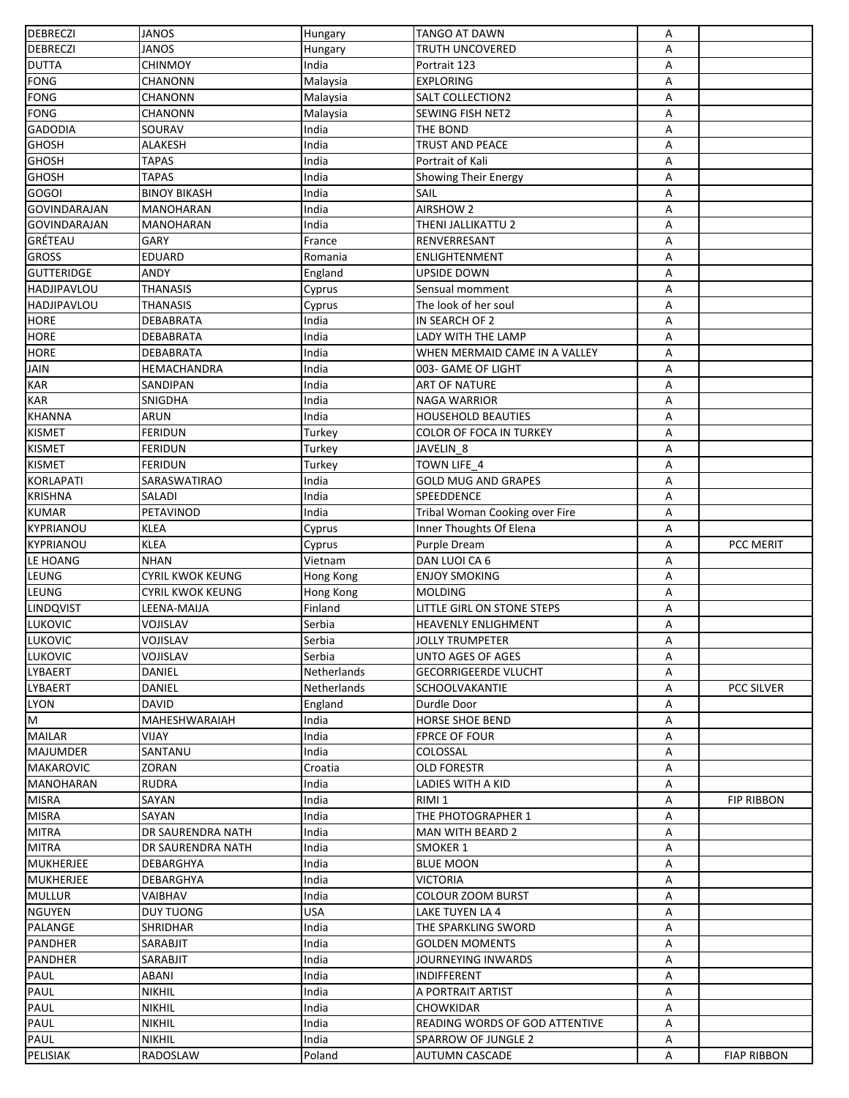| <b>DEBRECZI</b>                  | <b>JANOS</b>            | Hungary     | <b>TANGO AT DAWN</b>           | Α |                    |
|----------------------------------|-------------------------|-------------|--------------------------------|---|--------------------|
| DEBRECZI                         | <b>JANOS</b>            | Hungary     | TRUTH UNCOVERED                | Α |                    |
| <b>DUTTA</b>                     | <b>CHINMOY</b>          | India       | Portrait 123                   | Α |                    |
| <b>FONG</b>                      | CHANONN                 | Malaysia    | <b>EXPLORING</b>               | Α |                    |
| FONG                             | <b>CHANONN</b>          | Malaysia    | <b>SALT COLLECTION2</b>        | Α |                    |
| <b>FONG</b>                      | <b>CHANONN</b>          | Malaysia    | SEWING FISH NET2               | Α |                    |
| <b>GADODIA</b>                   | SOURAV                  | India       | THE BOND                       | Α |                    |
| <b>GHOSH</b>                     | ALAKESH                 | India       | <b>TRUST AND PEACE</b>         | Α |                    |
| <b>GHOSH</b>                     | <b>TAPAS</b>            | India       | Portrait of Kali               | Α |                    |
| <b>GHOSH</b>                     | <b>TAPAS</b>            | India       | Showing Their Energy           | Α |                    |
| <b>GOGOI</b>                     | <b>BINOY BIKASH</b>     | India       | SAIL                           | Α |                    |
| <b>GOVINDARAJAN</b>              | MANOHARAN               | India       | <b>AIRSHOW 2</b>               | Α |                    |
| <b>GOVINDARAJAN</b>              | MANOHARAN               | India       | THENI JALLIKATTU 2             | A |                    |
| <b>GRÉTEAU</b>                   | GARY                    | France      | RENVERRESANT                   | Α |                    |
| <b>GROSS</b>                     | <b>EDUARD</b>           | Romania     | ENLIGHTENMENT                  | Α |                    |
| <b>GUTTERIDGE</b>                | <b>ANDY</b>             | England     | UPSIDE DOWN                    | A |                    |
| <b>HADJIPAVLOU</b>               | <b>THANASIS</b>         | Cyprus      | Sensual momment                | Α |                    |
| <b>HADJIPAVLOU</b>               | <b>THANASIS</b>         | Cyprus      | The look of her soul           | Α |                    |
| <b>HORE</b>                      | <b>DEBABRATA</b>        | India       | IN SEARCH OF 2                 | А |                    |
| <b>HORE</b>                      | <b>DEBABRATA</b>        | India       | LADY WITH THE LAMP             | А |                    |
| <b>HORE</b>                      | DEBABRATA               | India       | WHEN MERMAID CAME IN A VALLEY  | А |                    |
| <b>JAIN</b>                      | HEMACHANDRA             | India       | 003- GAME OF LIGHT             | Α |                    |
| <b>KAR</b>                       | SANDIPAN                | India       | <b>ART OF NATURE</b>           | А |                    |
| <b>KAR</b>                       | SNIGDHA                 | India       | <b>NAGA WARRIOR</b>            | Α |                    |
| <b>KHANNA</b>                    | ARUN                    | India       | <b>HOUSEHOLD BEAUTIES</b>      | Α |                    |
| <b>KISMET</b>                    | <b>FERIDUN</b>          | Turkey      | COLOR OF FOCA IN TURKEY        | А |                    |
| <b>KISMET</b>                    | <b>FERIDUN</b>          | Turkey      | JAVELIN 8                      | А |                    |
| <b>KISMET</b>                    | <b>FERIDUN</b>          | Turkey      | TOWN LIFE 4                    | Α |                    |
| <b>KORLAPATI</b>                 | SARASWATIRAO            | India       | <b>GOLD MUG AND GRAPES</b>     | А |                    |
| <b>KRISHNA</b>                   | <b>SALADI</b>           | India       | SPEEDDENCE                     | Α |                    |
| <b>KUMAR</b>                     | PETAVINOD               |             |                                |   |                    |
| <b>KYPRIANOU</b>                 | <b>KLEA</b>             | India       | Tribal Woman Cooking over Fire | А |                    |
| <b>KYPRIANOU</b>                 | <b>KLEA</b>             | Cyprus      | Inner Thoughts Of Elena        | Α |                    |
|                                  |                         | Cyprus      | Purple Dream                   | Α | PCC MERIT          |
| LE HOANG                         | <b>NHAN</b>             | Vietnam     | DAN LUOI CA 6                  | Α |                    |
| LEUNG                            | <b>CYRIL KWOK KEUNG</b> | Hong Kong   | <b>ENJOY SMOKING</b>           | Α |                    |
| LEUNG                            | <b>CYRIL KWOK KEUNG</b> | Hong Kong   | <b>MOLDING</b>                 | Α |                    |
| LINDQVIST                        | LEENA-MAIJA             | Finland     | LITTLE GIRL ON STONE STEPS     | Α |                    |
| <b>LUKOVIC</b>                   | VOJISLAV                | Serbia      | HEAVENLY ENLIGHMENT            | Α |                    |
| LUKOVIC                          | VOJISLAV                | Serbia      | JOLLY TRUMPETER                | Α |                    |
| <b>LUKOVIC</b><br><b>LYBAERT</b> | <b>VOJISLAV</b>         | Serbia      | <b>UNTO AGES OF AGES</b>       | Α |                    |
|                                  | DANIEL                  | Netherlands | <b>GECORRIGEERDE VLUCHT</b>    | A |                    |
| LYBAERT                          | DANIEL                  | Netherlands | <b>SCHOOLVAKANTIE</b>          | А | <b>PCC SILVER</b>  |
| <b>LYON</b>                      | <b>DAVID</b>            | England     | Durdle Door                    | А |                    |
| M                                | MAHESHWARAIAH           | India       | <b>HORSE SHOE BEND</b>         | Α |                    |
| <b>MAILAR</b>                    | VIJAY                   | India       | <b>FPRCE OF FOUR</b>           | Α |                    |
| <b>MAJUMDER</b>                  | SANTANU                 | India       | COLOSSAL                       | Α |                    |
| <b>MAKAROVIC</b>                 | ZORAN                   | Croatia     | OLD FORESTR                    | А |                    |
| <b>MANOHARAN</b>                 | <b>RUDRA</b>            | India       | LADIES WITH A KID              | Α |                    |
| <b>MISRA</b>                     | SAYAN                   | India       | RIMI 1                         | Α | FIP RIBBON         |
| <b>MISRA</b>                     | SAYAN                   | India       | THE PHOTOGRAPHER 1             | Α |                    |
| <b>MITRA</b>                     | DR SAURENDRA NATH       | India       | <b>MAN WITH BEARD 2</b>        | Α |                    |
| <b>MITRA</b>                     | DR SAURENDRA NATH       | India       | SMOKER 1                       | Α |                    |
| <b>MUKHERJEE</b>                 | DEBARGHYA               | India       | <b>BLUE MOON</b>               | Α |                    |
| <b>MUKHERJEE</b>                 | DEBARGHYA               | India       | <b>VICTORIA</b>                | А |                    |
| <b>MULLUR</b>                    | VAIBHAV                 | India       | <b>COLOUR ZOOM BURST</b>       | Α |                    |
| <b>NGUYEN</b>                    | <b>DUY TUONG</b>        | <b>USA</b>  | LAKE TUYEN LA 4                | Α |                    |
| PALANGE                          | SHRIDHAR                | India       | THE SPARKLING SWORD            | Α |                    |
| <b>PANDHER</b>                   | SARABJIT                | India       | <b>GOLDEN MOMENTS</b>          | Α |                    |
| <b>PANDHER</b>                   | <b>SARABJIT</b>         | India       | JOURNEYING INWARDS             | Α |                    |
| PAUL                             | ABANI                   | India       | INDIFFERENT                    | А |                    |
| <b>PAUL</b>                      | <b>NIKHIL</b>           | India       | A PORTRAIT ARTIST              | А |                    |
| <b>PAUL</b>                      | <b>NIKHIL</b>           | India       | CHOWKIDAR                      | Α |                    |
| PAUL                             | <b>NIKHIL</b>           | India       | READING WORDS OF GOD ATTENTIVE | A |                    |
| PAUL                             | <b>NIKHIL</b>           | India       | SPARROW OF JUNGLE 2            | Α |                    |
| <b>PELISIAK</b>                  | RADOSLAW                | Poland      | <b>AUTUMN CASCADE</b>          | Α | <b>FIAP RIBBON</b> |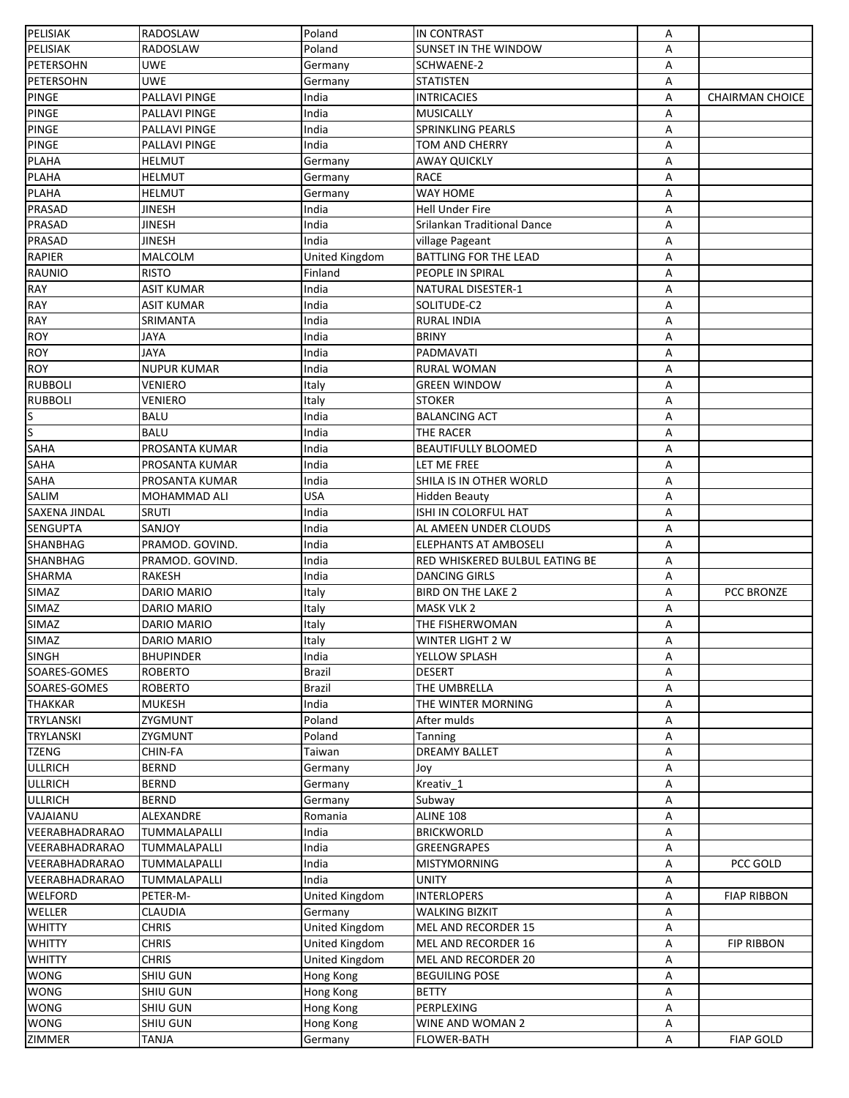| <b>PELISIAK</b>       | RADOSLAW           | Poland         | <b>IN CONTRAST</b>             | Α |                        |
|-----------------------|--------------------|----------------|--------------------------------|---|------------------------|
| PELISIAK              | RADOSLAW           | Poland         | SUNSET IN THE WINDOW           | A |                        |
| PETERSOHN             | <b>UWE</b>         | Germany        | SCHWAENE-2                     | Α |                        |
| PETERSOHN             | <b>UWE</b>         | Germany        | <b>STATISTEN</b>               | Α |                        |
| <b>PINGE</b>          | PALLAVI PINGE      | India          | <b>INTRICACIES</b>             | A | <b>CHAIRMAN CHOICE</b> |
| <b>PINGE</b>          | PALLAVI PINGE      | India          | <b>MUSICALLY</b>               | Α |                        |
| <b>PINGE</b>          | PALLAVI PINGE      | India          | <b>SPRINKLING PEARLS</b>       | А |                        |
| <b>PINGE</b>          | PALLAVI PINGE      | India          | TOM AND CHERRY                 | А |                        |
| <b>PLAHA</b>          | <b>HELMUT</b>      | Germany        | AWAY QUICKLY                   | Α |                        |
| <b>PLAHA</b>          | <b>HELMUT</b>      | Germany        | <b>RACE</b>                    | Α |                        |
| <b>PLAHA</b>          | <b>HELMUT</b>      | Germany        | <b>WAY HOME</b>                | Α |                        |
| PRASAD                | <b>JINESH</b>      | India          | Hell Under Fire                | Α |                        |
| <b>PRASAD</b>         | <b>JINESH</b>      | India          | Srilankan Traditional Dance    | Α |                        |
| PRASAD                | JINESH             | India          | village Pageant                | Α |                        |
| <b>RAPIER</b>         | MALCOLM            | United Kingdom | BATTLING FOR THE LEAD          | Α |                        |
| RAUNIO                | <b>RISTO</b>       | Finland        | PEOPLE IN SPIRAL               | Α |                        |
| <b>RAY</b>            | <b>ASIT KUMAR</b>  | India          | NATURAL DISESTER-1             | Α |                        |
| <b>RAY</b>            | <b>ASIT KUMAR</b>  | India          | SOLITUDE-C2                    | Α |                        |
|                       |                    |                |                                |   |                        |
| <b>RAY</b>            | SRIMANTA           | India          | <b>RURAL INDIA</b>             | Α |                        |
| <b>ROY</b>            | JAYA               | India          | <b>BRINY</b>                   | Α |                        |
| <b>ROY</b>            | <b>JAYA</b>        | India          | PADMAVATI                      | A |                        |
| <b>ROY</b>            | <b>NUPUR KUMAR</b> | India          | <b>RURAL WOMAN</b>             | Α |                        |
| <b>RUBBOLI</b>        | VENIERO            | Italy          | <b>GREEN WINDOW</b>            | A |                        |
| <b>RUBBOLI</b>        | VENIERO            | Italy          | <b>STOKER</b>                  | A |                        |
| ß                     | <b>BALU</b>        | India          | <b>BALANCING ACT</b>           | А |                        |
| S                     | <b>BALU</b>        | India          | THE RACER                      | Α |                        |
| <b>SAHA</b>           | PROSANTA KUMAR     | India          | <b>BEAUTIFULLY BLOOMED</b>     | A |                        |
| SAHA                  | PROSANTA KUMAR     | India          | LET ME FREE                    | Α |                        |
| <b>SAHA</b>           | PROSANTA KUMAR     | India          | SHILA IS IN OTHER WORLD        | Α |                        |
| SALIM                 | MOHAMMAD ALI       | <b>USA</b>     | <b>Hidden Beauty</b>           | Α |                        |
| <b>SAXENA JINDAL</b>  | SRUTI              | India          | ISHI IN COLORFUL HAT           | Α |                        |
| <b>SENGUPTA</b>       | SANJOY             | India          | AL AMEEN UNDER CLOUDS          | A |                        |
| <b>SHANBHAG</b>       | PRAMOD. GOVIND.    | India          | <b>ELEPHANTS AT AMBOSELI</b>   | А |                        |
| <b>SHANBHAG</b>       | PRAMOD. GOVIND.    | India          | RED WHISKERED BULBUL EATING BE | Α |                        |
| <b>SHARMA</b>         | <b>RAKESH</b>      | India          | <b>DANCING GIRLS</b>           | Α |                        |
| SIMAZ                 | DARIO MARIO        | Italy          | <b>BIRD ON THE LAKE 2</b>      | А | PCC BRONZE             |
| <b>SIMAZ</b>          | DARIO MARIO        | Italy          | MASK VLK 2                     | А |                        |
| SIMAZ                 | DARIO MARIO        | Italy          | THE FISHERWOMAN                | Α |                        |
| <b>SIMAZ</b>          | DARIO MARIO        | Italy          | WINTER LIGHT 2 W               | A |                        |
| <b>SINGH</b>          | <b>BHUPINDER</b>   | India          | YELLOW SPLASH                  | Α |                        |
| SOARES-GOMES          | <b>ROBERTO</b>     | Brazil         | <b>DESERT</b>                  | A |                        |
| SOARES-GOMES          | <b>ROBERTO</b>     | Brazil         | THE UMBRELLA                   | Α |                        |
| <b>THAKKAR</b>        | <b>MUKESH</b>      | India          | THE WINTER MORNING             | Α |                        |
| TRYLANSKI             | ZYGMUNT            | Poland         | After mulds                    | Α |                        |
| <b>TRYLANSKI</b>      | ZYGMUNT            | Poland         | Tanning                        | Α |                        |
| <b>TZENG</b>          | CHIN-FA            | Taiwan         | <b>DREAMY BALLET</b>           | Α |                        |
| <b>ULLRICH</b>        | <b>BERND</b>       | Germany        | Joy                            | Α |                        |
| <b>ULLRICH</b>        | <b>BERND</b>       | Germany        | Kreativ_1                      | Α |                        |
| <b>ULLRICH</b>        | <b>BERND</b>       | Germany        | Subway                         | Α |                        |
| VAJAIANU              | ALEXANDRE          | Romania        | <b>ALINE 108</b>               | Α |                        |
| VEERABHADRARAO        | TUMMALAPALLI       | India          | <b>BRICKWORLD</b>              | Α |                        |
| VEERABHADRARAO        | TUMMALAPALLI       | India          | <b>GREENGRAPES</b>             | Α |                        |
| VEERABHADRARAO        | TUMMALAPALLI       | India          | <b>MISTYMORNING</b>            | Α | PCC GOLD               |
| <b>VEERABHADRARAO</b> | TUMMALAPALLI       | India          | <b>UNITY</b>                   | Α |                        |
| <b>WELFORD</b>        | PETER-M-           | United Kingdom | <b>INTERLOPERS</b>             | Α | <b>FIAP RIBBON</b>     |
| WELLER                | <b>CLAUDIA</b>     | Germany        | <b>WALKING BIZKIT</b>          |   |                        |
|                       |                    |                |                                | Α |                        |
| <b>WHITTY</b>         | <b>CHRIS</b>       | United Kingdom | MEL AND RECORDER 15            | Α |                        |
| <b>WHITTY</b>         | <b>CHRIS</b>       | United Kingdom | MEL AND RECORDER 16            | Α | <b>FIP RIBBON</b>      |
| <b>WHITTY</b>         | <b>CHRIS</b>       | United Kingdom | MEL AND RECORDER 20            | Α |                        |
| <b>WONG</b>           | <b>SHIU GUN</b>    | Hong Kong      | <b>BEGUILING POSE</b>          | Α |                        |
| <b>WONG</b>           | <b>SHIU GUN</b>    | Hong Kong      | <b>BETTY</b>                   | Α |                        |
| <b>WONG</b>           | SHIU GUN           | Hong Kong      | PERPLEXING                     | Α |                        |
| <b>WONG</b>           | SHIU GUN           | Hong Kong      | WINE AND WOMAN 2               | Α |                        |
| ZIMMER                | TANJA              | Germany        | <b>FLOWER-BATH</b>             | А | <b>FIAP GOLD</b>       |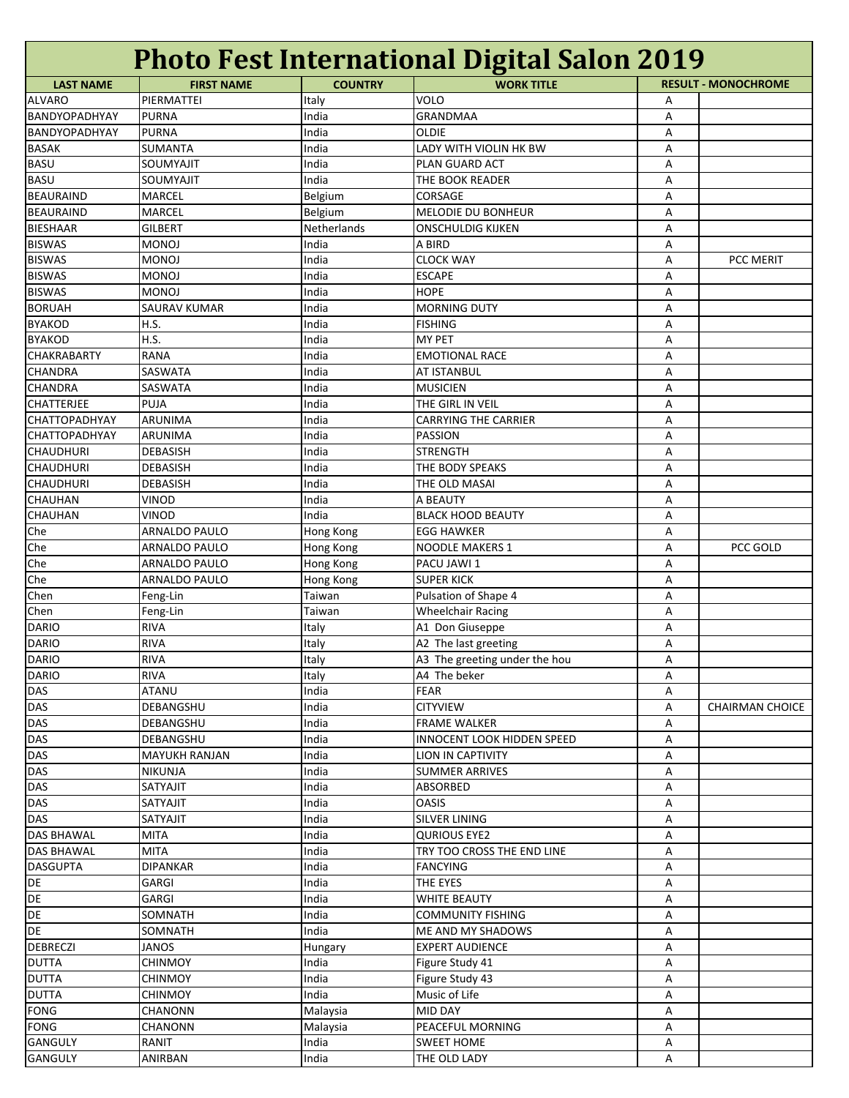| <b>Photo Fest International Digital Salon 2019</b> |                      |                |                                   |   |                            |  |
|----------------------------------------------------|----------------------|----------------|-----------------------------------|---|----------------------------|--|
| <b>LAST NAME</b>                                   | <b>FIRST NAME</b>    | <b>COUNTRY</b> | <b>WORK TITLE</b>                 |   | <b>RESULT - MONOCHROME</b> |  |
| <b>ALVARO</b>                                      | PIERMATTEI           | Italy          | VOLO                              | Α |                            |  |
| BANDYOPADHYAY                                      | <b>PURNA</b>         | India          | <b>GRANDMAA</b>                   | A |                            |  |
| BANDYOPADHYAY                                      | <b>PURNA</b>         | India          | <b>OLDIE</b>                      | Α |                            |  |
| <b>BASAK</b>                                       | SUMANTA              | India          | LADY WITH VIOLIN HK BW            | Α |                            |  |
| <b>BASU</b>                                        | SOUMYAJIT            | India          | PLAN GUARD ACT                    | Α |                            |  |
| <b>BASU</b>                                        | SOUMYAJIT            | India          | THE BOOK READER                   | Α |                            |  |
| <b>BEAURAIND</b>                                   | MARCEL               | Belgium        | CORSAGE                           | Α |                            |  |
| <b>BEAURAIND</b>                                   | MARCEL               | Belgium        | MELODIE DU BONHEUR                | Α |                            |  |
| <b>BIESHAAR</b>                                    | <b>GILBERT</b>       | Netherlands    | <b>ONSCHULDIG KIJKEN</b>          | Α |                            |  |
| <b>BISWAS</b>                                      | <b>MONOJ</b>         | India          | A BIRD                            | Α |                            |  |
| <b>BISWAS</b>                                      | <b>MONOJ</b>         | India          | <b>CLOCK WAY</b>                  | Α | PCC MERIT                  |  |
| <b>BISWAS</b>                                      | <b>MONOJ</b>         | India          | <b>ESCAPE</b>                     | Α |                            |  |
| <b>BISWAS</b>                                      | <b>MONOJ</b>         | India          | <b>HOPE</b>                       | Α |                            |  |
| <b>BORUAH</b>                                      | SAURAV KUMAR         | India          | <b>MORNING DUTY</b>               |   |                            |  |
|                                                    |                      |                | <b>FISHING</b>                    | Α |                            |  |
| <b>BYAKOD</b>                                      | H.S.                 | India          |                                   | Α |                            |  |
| <b>BYAKOD</b>                                      | H.S.                 | India          | <b>MY PET</b>                     | Α |                            |  |
| <b>CHAKRABARTY</b>                                 | <b>RANA</b>          | India          | <b>EMOTIONAL RACE</b>             | Α |                            |  |
| <b>CHANDRA</b>                                     | SASWATA              | India          | <b>AT ISTANBUL</b>                | Α |                            |  |
| <b>CHANDRA</b>                                     | SASWATA              | India          | <b>MUSICIEN</b>                   | Α |                            |  |
| <b>CHATTERJEE</b>                                  | PUJA                 | India          | THE GIRL IN VEIL                  | Α |                            |  |
| <b>CHATTOPADHYAY</b>                               | ARUNIMA              | India          | <b>CARRYING THE CARRIER</b>       | Α |                            |  |
| <b>CHATTOPADHYAY</b>                               | ARUNIMA              | India          | <b>PASSION</b>                    | Α |                            |  |
| <b>CHAUDHURI</b>                                   | <b>DEBASISH</b>      | India          | <b>STRENGTH</b>                   | Α |                            |  |
| <b>CHAUDHURI</b>                                   | DEBASISH             | India          | THE BODY SPEAKS                   | Α |                            |  |
| <b>CHAUDHURI</b>                                   | DEBASISH             | India          | THE OLD MASAI                     | Α |                            |  |
| <b>CHAUHAN</b>                                     | VINOD                | India          | A BEAUTY                          | Α |                            |  |
| <b>CHAUHAN</b>                                     | <b>VINOD</b>         | India          | <b>BLACK HOOD BEAUTY</b>          | Α |                            |  |
| Che                                                | ARNALDO PAULO        | Hong Kong      | <b>EGG HAWKER</b>                 | Α |                            |  |
| Che                                                | <b>ARNALDO PAULO</b> | Hong Kong      | NOODLE MAKERS 1                   | Α | PCC GOLD                   |  |
| Che                                                | <b>ARNALDO PAULO</b> | Hong Kong      | PACU JAWI 1                       | A |                            |  |
| Che                                                | ARNALDO PAULO        | Hong Kong      | <b>SUPER KICK</b>                 | Α |                            |  |
| Chen                                               | Feng-Lin             | Taiwan         | Pulsation of Shape 4              | Α |                            |  |
| Chen                                               | Feng-Lin             | Taiwan         | <b>Wheelchair Racing</b>          | Α |                            |  |
| <b>DARIO</b>                                       | <b>RIVA</b>          | Italy          | A1 Don Giuseppe                   | Α |                            |  |
| <b>DARIO</b>                                       | <b>RIVA</b>          | Italy          | A2 The last greeting              | Α |                            |  |
| DARIO                                              | RIVA                 | Italy          | A3 The greeting under the hou     | Α |                            |  |
| <b>DARIO</b>                                       | <b>RIVA</b>          | Italy          | A4 The beker                      | Α |                            |  |
| <b>DAS</b>                                         | ATANU                | India          | FEAR                              | Α |                            |  |
| DAS                                                | DEBANGSHU            | India          | <b>CITYVIEW</b>                   | Α | <b>CHAIRMAN CHOICE</b>     |  |
| <b>DAS</b>                                         |                      |                | <b>FRAME WALKER</b>               |   |                            |  |
|                                                    | DEBANGSHU            | India          |                                   | Α |                            |  |
| <b>DAS</b>                                         | DEBANGSHU            | India          | <b>INNOCENT LOOK HIDDEN SPEED</b> | Α |                            |  |
| DAS                                                | <b>MAYUKH RANJAN</b> | India          | <b>LION IN CAPTIVITY</b>          | Α |                            |  |
| <b>DAS</b>                                         | <b>NIKUNJA</b>       | India          | <b>SUMMER ARRIVES</b>             | Α |                            |  |
| <b>DAS</b>                                         | SATYAJIT             | India          | ABSORBED                          | Α |                            |  |
| DAS                                                | SATYAJIT             | India          | <b>OASIS</b>                      | Α |                            |  |
| <b>DAS</b>                                         | SATYAJIT             | India          | <b>SILVER LINING</b>              | Α |                            |  |
| <b>DAS BHAWAL</b>                                  | <b>MITA</b>          | India          | <b>QURIOUS EYE2</b>               | Α |                            |  |
| <b>DAS BHAWAL</b>                                  | <b>MITA</b>          | India          | TRY TOO CROSS THE END LINE        | Α |                            |  |
| <b>DASGUPTA</b>                                    | <b>DIPANKAR</b>      | India          | <b>FANCYING</b>                   | Α |                            |  |
| DE                                                 | GARGI                | India          | THE EYES                          | Α |                            |  |
| DE                                                 | GARGI                | India          | <b>WHITE BEAUTY</b>               | Α |                            |  |
| <b>DE</b>                                          | SOMNATH              | India          | <b>COMMUNITY FISHING</b>          | A |                            |  |
| DE                                                 | SOMNATH              | India          | ME AND MY SHADOWS                 | Α |                            |  |
| <b>DEBRECZI</b>                                    | <b>JANOS</b>         | Hungary        | <b>EXPERT AUDIENCE</b>            | Α |                            |  |
| <b>DUTTA</b>                                       | <b>CHINMOY</b>       | India          | Figure Study 41                   | Α |                            |  |
| <b>DUTTA</b>                                       | <b>CHINMOY</b>       | India          | Figure Study 43                   | Α |                            |  |
| <b>DUTTA</b>                                       | <b>CHINMOY</b>       | India          | Music of Life                     | Α |                            |  |
| <b>FONG</b>                                        | <b>CHANONN</b>       | Malaysia       | MID DAY                           | Α |                            |  |
| <b>FONG</b>                                        | CHANONN              | Malaysia       | PEACEFUL MORNING                  | Α |                            |  |
| <b>GANGULY</b>                                     | RANIT                | India          | <b>SWEET HOME</b>                 | Α |                            |  |
| <b>GANGULY</b>                                     | ANIRBAN              | India          | THE OLD LADY                      | A |                            |  |
|                                                    |                      |                |                                   |   |                            |  |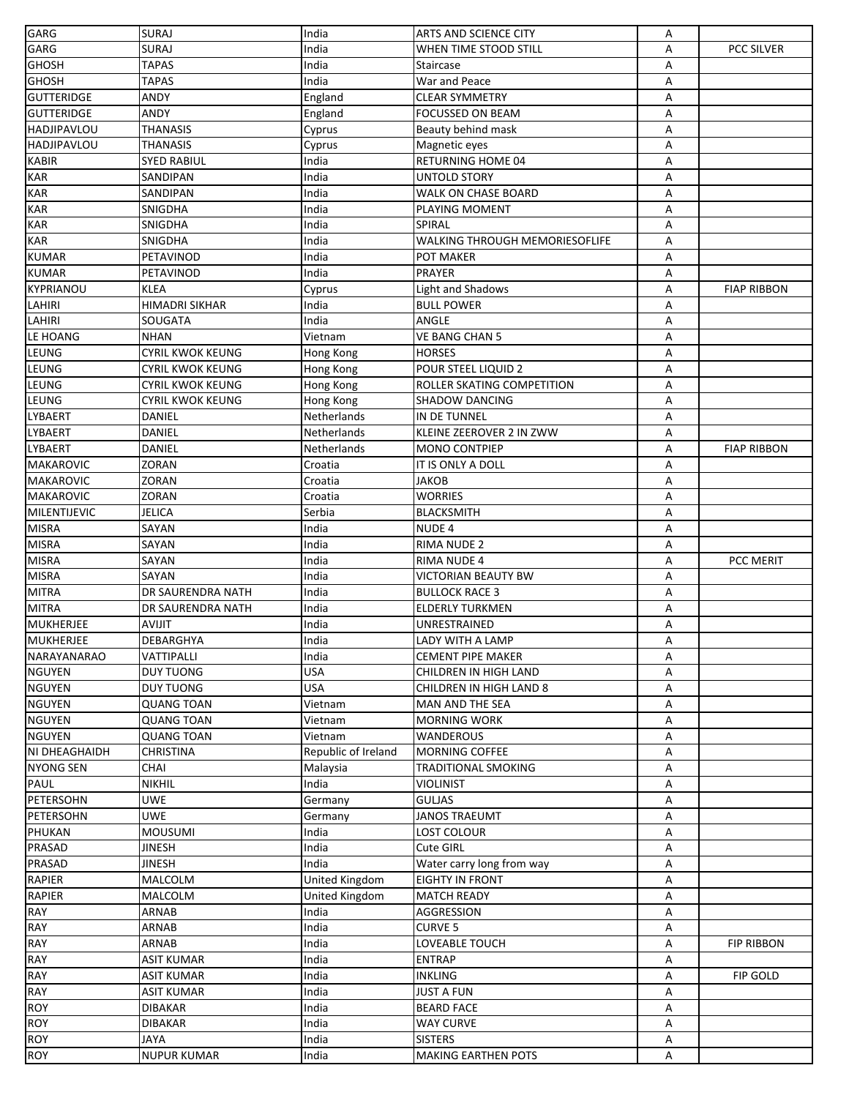| GARG                | <b>SURAJ</b>               | India               | <b>ARTS AND SCIENCE CITY</b>          | Α |                    |
|---------------------|----------------------------|---------------------|---------------------------------------|---|--------------------|
| GARG                | <b>SURAJ</b>               | India               | WHEN TIME STOOD STILL                 | Α | <b>PCC SILVER</b>  |
| GHOSH               | <b>TAPAS</b>               | India               | Staircase                             | Α |                    |
| GHOSH               | <b>TAPAS</b>               | India               | War and Peace                         | Α |                    |
| <b>GUTTERIDGE</b>   | ANDY                       | England             | <b>CLEAR SYMMETRY</b>                 | Α |                    |
| <b>GUTTERIDGE</b>   | ANDY                       | England             | <b>FOCUSSED ON BEAM</b>               | А |                    |
| <b>HADJIPAVLOU</b>  | THANASIS                   | Cyprus              | Beauty behind mask                    | Α |                    |
| <b>HADJIPAVLOU</b>  | THANASIS                   | Cyprus              | Magnetic eyes                         | Α |                    |
| <b>KABIR</b>        | SYED RABIUL                | India               | RETURNING HOME 04                     | А |                    |
| <b>KAR</b>          | SANDIPAN                   | India               | UNTOLD STORY                          | А |                    |
| <b>KAR</b>          | SANDIPAN                   | India               | WALK ON CHASE BOARD                   | А |                    |
| <b>KAR</b>          |                            | India               | PLAYING MOMENT                        | А |                    |
| <b>KAR</b>          | SNIGDHA                    |                     |                                       |   |                    |
| <b>KAR</b>          | SNIGDHA                    | India               | SPIRAL                                | Α |                    |
|                     | SNIGDHA                    | India               | <b>WALKING THROUGH MEMORIESOFLIFE</b> | Α |                    |
| <b>KUMAR</b>        | PETAVINOD                  | India               | <b>POT MAKER</b>                      | Α |                    |
| <b>KUMAR</b>        | PETAVINOD                  | India               | PRAYER                                | А |                    |
| KYPRIANOU           | <b>KLEA</b>                | Cyprus              | <b>Light and Shadows</b>              | Α | <b>FIAP RIBBON</b> |
| LAHIRI              | <b>HIMADRI SIKHAR</b>      | India               | <b>BULL POWER</b>                     | Α |                    |
| LAHIRI              | SOUGATA                    | India               | ANGLE                                 | Α |                    |
| LE HOANG            | <b>NHAN</b>                | Vietnam             | <b>VE BANG CHAN 5</b>                 | А |                    |
| LEUNG               | <b>CYRIL KWOK KEUNG</b>    | Hong Kong           | HORSES                                | А |                    |
| LEUNG               | CYRIL KWOK KEUNG           | Hong Kong           | POUR STEEL LIQUID 2                   | А |                    |
| LEUNG               | CYRIL KWOK KEUNG           | Hong Kong           | ROLLER SKATING COMPETITION            | А |                    |
| LEUNG               | CYRIL KWOK KEUNG           | Hong Kong           | <b>SHADOW DANCING</b>                 | А |                    |
| <b>LYBAERT</b>      | DANIEL                     | Netherlands         | IN DE TUNNEL                          | А |                    |
| <b>LYBAERT</b>      | DANIEL                     | Netherlands         | KLEINE ZEEROVER 2 IN ZWW              | Α |                    |
| <b>LYBAERT</b>      | DANIEL                     | Netherlands         | <b>MONO CONTPIEP</b>                  | Α | <b>FIAP RIBBON</b> |
| <b>MAKAROVIC</b>    | <b>ZORAN</b>               | Croatia             | IT IS ONLY A DOLL                     | Α |                    |
| <b>MAKAROVIC</b>    | ZORAN                      | Croatia             | JAKOB                                 | А |                    |
| <b>MAKAROVIC</b>    | <b>ZORAN</b>               | Croatia             | <b>WORRIES</b>                        | А |                    |
| <b>MILENTIJEVIC</b> | <b>JELICA</b>              | Serbia              | <b>BLACKSMITH</b>                     | А |                    |
| <b>MISRA</b>        | SAYAN                      | India               | <b>NUDE 4</b>                         |   |                    |
|                     |                            |                     |                                       | Α |                    |
| <b>MISRA</b>        | SAYAN                      | India               | RIMA NUDE 2                           | Α |                    |
| <b>MISRA</b>        | SAYAN                      | India               | RIMA NUDE 4                           | А | PCC MERIT          |
| <b>MISRA</b>        | SAYAN                      | India               | <b>VICTORIAN BEAUTY BW</b>            | А |                    |
| <b>MITRA</b>        | DR SAURENDRA NATH          | India               | <b>BULLOCK RACE 3</b>                 | А |                    |
| <b>MITRA</b>        | DR SAURENDRA NATH          | India               | <b>ELDERLY TURKMEN</b>                | Α |                    |
| MUKHERJEE           | AVIJIT                     | India               | UNRESTRAINED                          | А |                    |
| <b>MUKHERJEE</b>    | <b>DEBARGHYA</b>           | India               | LADY WITH A LAMP                      | A |                    |
| NARAYANARAO         | <b>VATTIPALLI</b>          | India               | <b>CEMENT PIPE MAKER</b>              | Α |                    |
| <b>NGUYEN</b>       | <b>DUY TUONG</b>           | <b>USA</b>          | CHILDREN IN HIGH LAND                 | A |                    |
| <b>NGUYEN</b>       | <b>DUY TUONG</b>           | <b>USA</b>          | CHILDREN IN HIGH LAND 8               | А |                    |
| <b>NGUYEN</b>       | <b>QUANG TOAN</b>          | Vietnam             | MAN AND THE SEA                       | Α |                    |
| <b>NGUYEN</b>       | <b>QUANG TOAN</b>          | Vietnam             | <b>MORNING WORK</b>                   | Α |                    |
| <b>NGUYEN</b>       | QUANG TOAN                 | Vietnam             | <b>WANDEROUS</b>                      | А |                    |
| NI DHEAGHAIDH       | CHRISTINA                  | Republic of Ireland | MORNING COFFEE                        | Α |                    |
| <b>NYONG SEN</b>    | CHAI                       | Malaysia            | <b>TRADITIONAL SMOKING</b>            | А |                    |
| PAUL                | <b>NIKHIL</b>              | India               | <b>VIOLINIST</b>                      | А |                    |
| <b>PETERSOHN</b>    | <b>UWE</b>                 | Germany             | <b>GULJAS</b>                         | А |                    |
| PETERSOHN           | <b>UWE</b>                 | Germany             | <b>JANOS TRAEUMT</b>                  | А |                    |
| <b>PHUKAN</b>       | <b>MOUSUMI</b>             | India               | LOST COLOUR                           | А |                    |
| <b>PRASAD</b>       | JINESH                     | India               | <b>Cute GIRL</b>                      | А |                    |
| PRASAD              | JINESH                     | India               | Water carry long from way             | А |                    |
| <b>RAPIER</b>       | MALCOLM                    | United Kingdom      | <b>EIGHTY IN FRONT</b>                | А |                    |
| RAPIER              | MALCOLM                    | United Kingdom      | <b>MATCH READY</b>                    | А |                    |
|                     |                            |                     |                                       |   |                    |
| <b>RAY</b>          | ARNAB                      | India<br>India      | AGGRESSION                            | Α |                    |
| RAY                 | ARNAB                      |                     | <b>CURVE 5</b>                        | Α |                    |
| RAY                 | ARNAB                      | India               | LOVEABLE TOUCH                        | Α | <b>FIP RIBBON</b>  |
| RAY                 | ASIT KUMAR                 | India               | <b>ENTRAP</b>                         | Α |                    |
| <b>RAY</b>          | ASIT KUMAR                 | India               | <b>INKLING</b>                        | А | FIP GOLD           |
| <b>RAY</b>          | <b>ASIT KUMAR</b>          | India               | <b>JUST A FUN</b>                     | А |                    |
| <b>ROY</b>          | <b>DIBAKAR</b>             | India               | <b>BEARD FACE</b>                     | Α |                    |
| <b>ROY</b>          | <b>DIBAKAR</b>             | India               | <b>WAY CURVE</b>                      | Α |                    |
| <b>ROY</b>          |                            |                     |                                       |   |                    |
| <b>ROY</b>          | JAYA<br><b>NUPUR KUMAR</b> | India               | <b>SISTERS</b>                        | Α |                    |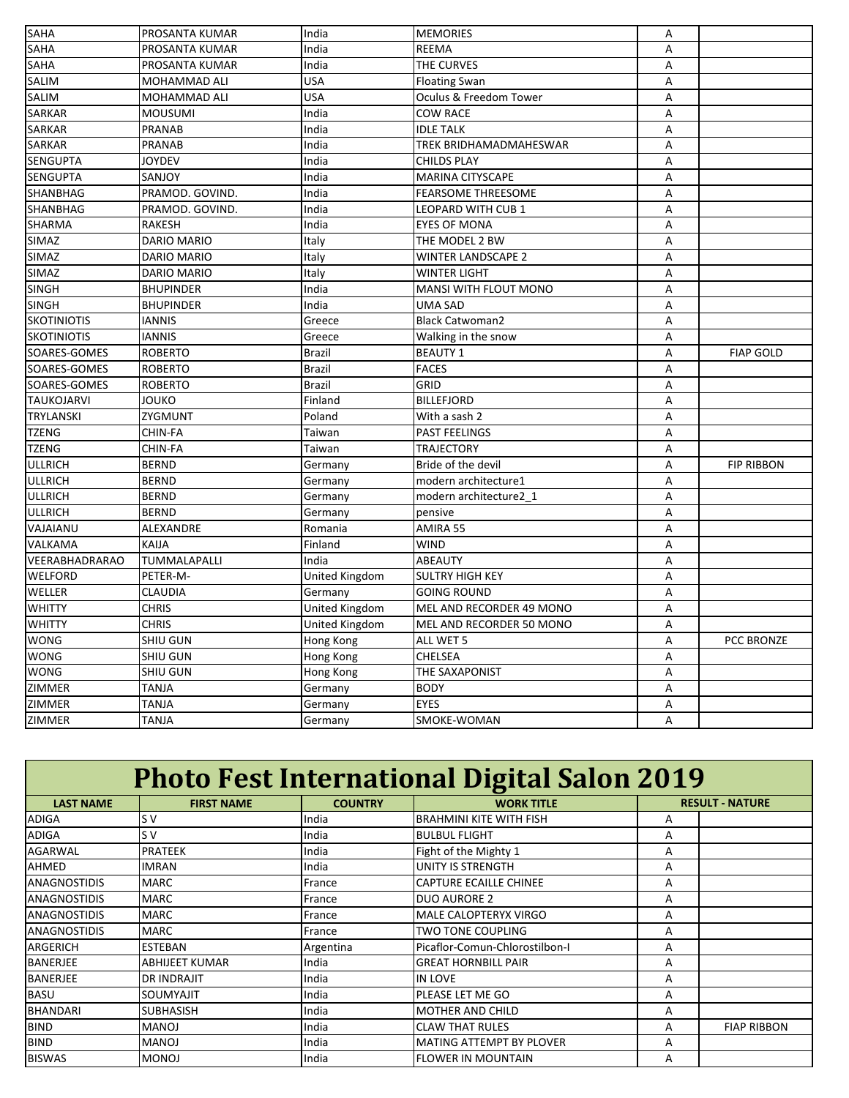| A<br>PROSANTA KUMAR<br>India<br><b>REEMA</b><br>THE CURVES<br>PROSANTA KUMAR<br>India<br>Α<br><b>USA</b><br>MOHAMMAD ALI<br><b>Floating Swan</b><br>Α<br><b>USA</b><br>Oculus & Freedom Tower<br>MOHAMMAD ALI<br>A<br><b>MOUSUMI</b><br>India<br><b>COW RACE</b><br>Α<br><b>SARKAR</b><br>PRANAB<br>India<br><b>IDLE TALK</b><br>A<br>PRANAB<br>India<br>TREK BRIDHAMADMAHESWAR<br>Α<br><b>SENGUPTA</b><br>India<br><b>CHILDS PLAY</b><br>А<br>JOYDEV<br><b>SENGUPTA</b><br>SANJOY<br>India<br><b>MARINA CITYSCAPE</b><br>A<br>SHANBHAG<br>PRAMOD. GOVIND.<br>India<br><b>FEARSOME THREESOME</b><br>А<br>India<br>PRAMOD. GOVIND.<br>LEOPARD WITH CUB 1<br>A<br>India<br><b>SHARMA</b><br>RAKESH<br><b>EYES OF MONA</b><br>Α<br><b>SIMAZ</b><br>DARIO MARIO<br>Italy<br>THE MODEL 2 BW<br>Α<br><b>DARIO MARIO</b><br>Italy<br><b>WINTER LANDSCAPE 2</b><br>А<br>SIMAZ<br>DARIO MARIO<br>Italy<br><b>WINTER LIGHT</b><br>Α<br><b>SINGH</b><br>India<br><b>BHUPINDER</b><br>MANSI WITH FLOUT MONO<br>A<br><b>BHUPINDER</b><br>India<br><b>UMA SAD</b><br>A<br><b>SKOTINIOTIS</b><br>Greece<br><b>Black Catwoman2</b><br>А<br><b>IANNIS</b><br><b>SKOTINIOTIS</b><br><b>IANNIS</b><br>А<br>Greece<br>Walking in the snow<br>SOARES-GOMES<br><b>ROBERTO</b><br><b>FIAP GOLD</b><br><b>Brazil</b><br><b>BEAUTY 1</b><br>Α<br><b>FACES</b><br><b>ROBERTO</b><br><b>Brazil</b><br>A<br>GRID<br>SOARES-GOMES<br><b>ROBERTO</b><br><b>Brazil</b><br>Α<br><b>TAUKOJARVI</b><br><b>BILLEFJORD</b><br>JOUKO<br>Finland<br>A<br><b>TRYLANSKI</b><br>ZYGMUNT<br>Poland<br>With a sash 2<br>А<br><b>TZENG</b><br>CHIN-FA<br>Taiwan<br>PAST FEELINGS<br>Α<br><b>TZENG</b><br>CHIN-FA<br>Taiwan<br><b>TRAJECTORY</b><br>Α<br><b>BERND</b><br>Bride of the devil<br>Germany<br>A<br><b>FIP RIBBON</b><br>ULLRICH<br><b>BERND</b><br>Germany<br>modern architecture1<br>Α<br>ULLRICH<br><b>BERND</b><br>Germany<br>modern architecture2 1<br>A<br><b>ULLRICH</b><br><b>BERND</b><br>Germany<br>A<br>pensive<br>VAJAIANU<br>ALEXANDRE<br>AMIRA 55<br>Romania<br>Α<br>KAIJA<br>Finland<br>VALKAMA<br><b>WIND</b><br>A<br>VEERABHADRARAO<br>TUMMALAPALLI<br>India<br><b>ABEAUTY</b><br>Α<br>United Kingdom<br>PETER-M-<br><b>SULTRY HIGH KEY</b><br>Α<br>WELLER<br>Germany<br><b>GOING ROUND</b><br>А<br>CLAUDIA<br><b>CHRIS</b><br><b>United Kingdom</b><br>MEL AND RECORDER 49 MONO<br>A<br>WHITTY<br><b>CHRIS</b><br>United Kingdom<br>MEL AND RECORDER 50 MONO<br>A<br><b>WONG</b><br>SHIU GUN<br>PCC BRONZE<br>Hong Kong<br>ALL WET 5<br>А<br><b>WONG</b><br>SHIU GUN<br>Hong Kong<br><b>CHELSEA</b><br>Α<br>SHIU GUN<br>THE SAXAPONIST<br>Hong Kong<br>A<br>ZIMMER<br><b>TANJA</b><br>Germany<br><b>BODY</b><br>Α<br><b>EYES</b><br><b>TANJA</b><br>А<br>Germany<br><b>TANJA</b><br>Germany<br>A<br>SMOKE-WOMAN | <b>SAHA</b>    | PROSANTA KUMAR | India | <b>MEMORIES</b> | Α |  |
|-------------------------------------------------------------------------------------------------------------------------------------------------------------------------------------------------------------------------------------------------------------------------------------------------------------------------------------------------------------------------------------------------------------------------------------------------------------------------------------------------------------------------------------------------------------------------------------------------------------------------------------------------------------------------------------------------------------------------------------------------------------------------------------------------------------------------------------------------------------------------------------------------------------------------------------------------------------------------------------------------------------------------------------------------------------------------------------------------------------------------------------------------------------------------------------------------------------------------------------------------------------------------------------------------------------------------------------------------------------------------------------------------------------------------------------------------------------------------------------------------------------------------------------------------------------------------------------------------------------------------------------------------------------------------------------------------------------------------------------------------------------------------------------------------------------------------------------------------------------------------------------------------------------------------------------------------------------------------------------------------------------------------------------------------------------------------------------------------------------------------------------------------------------------------------------------------------------------------------------------------------------------------------------------------------------------------------------------------------------------------------------------------------------------------------------------------------------------------------------------------------------------------------------------------------------------------------------------------------------------------------------------------------------------------------------------------------------------------------------------------------------------------------------------------|----------------|----------------|-------|-----------------|---|--|
|                                                                                                                                                                                                                                                                                                                                                                                                                                                                                                                                                                                                                                                                                                                                                                                                                                                                                                                                                                                                                                                                                                                                                                                                                                                                                                                                                                                                                                                                                                                                                                                                                                                                                                                                                                                                                                                                                                                                                                                                                                                                                                                                                                                                                                                                                                                                                                                                                                                                                                                                                                                                                                                                                                                                                                                                 | <b>SAHA</b>    |                |       |                 |   |  |
|                                                                                                                                                                                                                                                                                                                                                                                                                                                                                                                                                                                                                                                                                                                                                                                                                                                                                                                                                                                                                                                                                                                                                                                                                                                                                                                                                                                                                                                                                                                                                                                                                                                                                                                                                                                                                                                                                                                                                                                                                                                                                                                                                                                                                                                                                                                                                                                                                                                                                                                                                                                                                                                                                                                                                                                                 | <b>SAHA</b>    |                |       |                 |   |  |
|                                                                                                                                                                                                                                                                                                                                                                                                                                                                                                                                                                                                                                                                                                                                                                                                                                                                                                                                                                                                                                                                                                                                                                                                                                                                                                                                                                                                                                                                                                                                                                                                                                                                                                                                                                                                                                                                                                                                                                                                                                                                                                                                                                                                                                                                                                                                                                                                                                                                                                                                                                                                                                                                                                                                                                                                 | <b>SALIM</b>   |                |       |                 |   |  |
|                                                                                                                                                                                                                                                                                                                                                                                                                                                                                                                                                                                                                                                                                                                                                                                                                                                                                                                                                                                                                                                                                                                                                                                                                                                                                                                                                                                                                                                                                                                                                                                                                                                                                                                                                                                                                                                                                                                                                                                                                                                                                                                                                                                                                                                                                                                                                                                                                                                                                                                                                                                                                                                                                                                                                                                                 | <b>SALIM</b>   |                |       |                 |   |  |
|                                                                                                                                                                                                                                                                                                                                                                                                                                                                                                                                                                                                                                                                                                                                                                                                                                                                                                                                                                                                                                                                                                                                                                                                                                                                                                                                                                                                                                                                                                                                                                                                                                                                                                                                                                                                                                                                                                                                                                                                                                                                                                                                                                                                                                                                                                                                                                                                                                                                                                                                                                                                                                                                                                                                                                                                 | <b>SARKAR</b>  |                |       |                 |   |  |
|                                                                                                                                                                                                                                                                                                                                                                                                                                                                                                                                                                                                                                                                                                                                                                                                                                                                                                                                                                                                                                                                                                                                                                                                                                                                                                                                                                                                                                                                                                                                                                                                                                                                                                                                                                                                                                                                                                                                                                                                                                                                                                                                                                                                                                                                                                                                                                                                                                                                                                                                                                                                                                                                                                                                                                                                 |                |                |       |                 |   |  |
|                                                                                                                                                                                                                                                                                                                                                                                                                                                                                                                                                                                                                                                                                                                                                                                                                                                                                                                                                                                                                                                                                                                                                                                                                                                                                                                                                                                                                                                                                                                                                                                                                                                                                                                                                                                                                                                                                                                                                                                                                                                                                                                                                                                                                                                                                                                                                                                                                                                                                                                                                                                                                                                                                                                                                                                                 | <b>SARKAR</b>  |                |       |                 |   |  |
|                                                                                                                                                                                                                                                                                                                                                                                                                                                                                                                                                                                                                                                                                                                                                                                                                                                                                                                                                                                                                                                                                                                                                                                                                                                                                                                                                                                                                                                                                                                                                                                                                                                                                                                                                                                                                                                                                                                                                                                                                                                                                                                                                                                                                                                                                                                                                                                                                                                                                                                                                                                                                                                                                                                                                                                                 |                |                |       |                 |   |  |
|                                                                                                                                                                                                                                                                                                                                                                                                                                                                                                                                                                                                                                                                                                                                                                                                                                                                                                                                                                                                                                                                                                                                                                                                                                                                                                                                                                                                                                                                                                                                                                                                                                                                                                                                                                                                                                                                                                                                                                                                                                                                                                                                                                                                                                                                                                                                                                                                                                                                                                                                                                                                                                                                                                                                                                                                 |                |                |       |                 |   |  |
|                                                                                                                                                                                                                                                                                                                                                                                                                                                                                                                                                                                                                                                                                                                                                                                                                                                                                                                                                                                                                                                                                                                                                                                                                                                                                                                                                                                                                                                                                                                                                                                                                                                                                                                                                                                                                                                                                                                                                                                                                                                                                                                                                                                                                                                                                                                                                                                                                                                                                                                                                                                                                                                                                                                                                                                                 |                |                |       |                 |   |  |
|                                                                                                                                                                                                                                                                                                                                                                                                                                                                                                                                                                                                                                                                                                                                                                                                                                                                                                                                                                                                                                                                                                                                                                                                                                                                                                                                                                                                                                                                                                                                                                                                                                                                                                                                                                                                                                                                                                                                                                                                                                                                                                                                                                                                                                                                                                                                                                                                                                                                                                                                                                                                                                                                                                                                                                                                 | SHANBHAG       |                |       |                 |   |  |
|                                                                                                                                                                                                                                                                                                                                                                                                                                                                                                                                                                                                                                                                                                                                                                                                                                                                                                                                                                                                                                                                                                                                                                                                                                                                                                                                                                                                                                                                                                                                                                                                                                                                                                                                                                                                                                                                                                                                                                                                                                                                                                                                                                                                                                                                                                                                                                                                                                                                                                                                                                                                                                                                                                                                                                                                 |                |                |       |                 |   |  |
|                                                                                                                                                                                                                                                                                                                                                                                                                                                                                                                                                                                                                                                                                                                                                                                                                                                                                                                                                                                                                                                                                                                                                                                                                                                                                                                                                                                                                                                                                                                                                                                                                                                                                                                                                                                                                                                                                                                                                                                                                                                                                                                                                                                                                                                                                                                                                                                                                                                                                                                                                                                                                                                                                                                                                                                                 |                |                |       |                 |   |  |
|                                                                                                                                                                                                                                                                                                                                                                                                                                                                                                                                                                                                                                                                                                                                                                                                                                                                                                                                                                                                                                                                                                                                                                                                                                                                                                                                                                                                                                                                                                                                                                                                                                                                                                                                                                                                                                                                                                                                                                                                                                                                                                                                                                                                                                                                                                                                                                                                                                                                                                                                                                                                                                                                                                                                                                                                 | <b>SIMAZ</b>   |                |       |                 |   |  |
|                                                                                                                                                                                                                                                                                                                                                                                                                                                                                                                                                                                                                                                                                                                                                                                                                                                                                                                                                                                                                                                                                                                                                                                                                                                                                                                                                                                                                                                                                                                                                                                                                                                                                                                                                                                                                                                                                                                                                                                                                                                                                                                                                                                                                                                                                                                                                                                                                                                                                                                                                                                                                                                                                                                                                                                                 |                |                |       |                 |   |  |
|                                                                                                                                                                                                                                                                                                                                                                                                                                                                                                                                                                                                                                                                                                                                                                                                                                                                                                                                                                                                                                                                                                                                                                                                                                                                                                                                                                                                                                                                                                                                                                                                                                                                                                                                                                                                                                                                                                                                                                                                                                                                                                                                                                                                                                                                                                                                                                                                                                                                                                                                                                                                                                                                                                                                                                                                 |                |                |       |                 |   |  |
|                                                                                                                                                                                                                                                                                                                                                                                                                                                                                                                                                                                                                                                                                                                                                                                                                                                                                                                                                                                                                                                                                                                                                                                                                                                                                                                                                                                                                                                                                                                                                                                                                                                                                                                                                                                                                                                                                                                                                                                                                                                                                                                                                                                                                                                                                                                                                                                                                                                                                                                                                                                                                                                                                                                                                                                                 | <b>SINGH</b>   |                |       |                 |   |  |
|                                                                                                                                                                                                                                                                                                                                                                                                                                                                                                                                                                                                                                                                                                                                                                                                                                                                                                                                                                                                                                                                                                                                                                                                                                                                                                                                                                                                                                                                                                                                                                                                                                                                                                                                                                                                                                                                                                                                                                                                                                                                                                                                                                                                                                                                                                                                                                                                                                                                                                                                                                                                                                                                                                                                                                                                 |                |                |       |                 |   |  |
|                                                                                                                                                                                                                                                                                                                                                                                                                                                                                                                                                                                                                                                                                                                                                                                                                                                                                                                                                                                                                                                                                                                                                                                                                                                                                                                                                                                                                                                                                                                                                                                                                                                                                                                                                                                                                                                                                                                                                                                                                                                                                                                                                                                                                                                                                                                                                                                                                                                                                                                                                                                                                                                                                                                                                                                                 |                |                |       |                 |   |  |
|                                                                                                                                                                                                                                                                                                                                                                                                                                                                                                                                                                                                                                                                                                                                                                                                                                                                                                                                                                                                                                                                                                                                                                                                                                                                                                                                                                                                                                                                                                                                                                                                                                                                                                                                                                                                                                                                                                                                                                                                                                                                                                                                                                                                                                                                                                                                                                                                                                                                                                                                                                                                                                                                                                                                                                                                 |                |                |       |                 |   |  |
|                                                                                                                                                                                                                                                                                                                                                                                                                                                                                                                                                                                                                                                                                                                                                                                                                                                                                                                                                                                                                                                                                                                                                                                                                                                                                                                                                                                                                                                                                                                                                                                                                                                                                                                                                                                                                                                                                                                                                                                                                                                                                                                                                                                                                                                                                                                                                                                                                                                                                                                                                                                                                                                                                                                                                                                                 | SOARES-GOMES   |                |       |                 |   |  |
|                                                                                                                                                                                                                                                                                                                                                                                                                                                                                                                                                                                                                                                                                                                                                                                                                                                                                                                                                                                                                                                                                                                                                                                                                                                                                                                                                                                                                                                                                                                                                                                                                                                                                                                                                                                                                                                                                                                                                                                                                                                                                                                                                                                                                                                                                                                                                                                                                                                                                                                                                                                                                                                                                                                                                                                                 |                |                |       |                 |   |  |
|                                                                                                                                                                                                                                                                                                                                                                                                                                                                                                                                                                                                                                                                                                                                                                                                                                                                                                                                                                                                                                                                                                                                                                                                                                                                                                                                                                                                                                                                                                                                                                                                                                                                                                                                                                                                                                                                                                                                                                                                                                                                                                                                                                                                                                                                                                                                                                                                                                                                                                                                                                                                                                                                                                                                                                                                 |                |                |       |                 |   |  |
|                                                                                                                                                                                                                                                                                                                                                                                                                                                                                                                                                                                                                                                                                                                                                                                                                                                                                                                                                                                                                                                                                                                                                                                                                                                                                                                                                                                                                                                                                                                                                                                                                                                                                                                                                                                                                                                                                                                                                                                                                                                                                                                                                                                                                                                                                                                                                                                                                                                                                                                                                                                                                                                                                                                                                                                                 |                |                |       |                 |   |  |
|                                                                                                                                                                                                                                                                                                                                                                                                                                                                                                                                                                                                                                                                                                                                                                                                                                                                                                                                                                                                                                                                                                                                                                                                                                                                                                                                                                                                                                                                                                                                                                                                                                                                                                                                                                                                                                                                                                                                                                                                                                                                                                                                                                                                                                                                                                                                                                                                                                                                                                                                                                                                                                                                                                                                                                                                 |                |                |       |                 |   |  |
|                                                                                                                                                                                                                                                                                                                                                                                                                                                                                                                                                                                                                                                                                                                                                                                                                                                                                                                                                                                                                                                                                                                                                                                                                                                                                                                                                                                                                                                                                                                                                                                                                                                                                                                                                                                                                                                                                                                                                                                                                                                                                                                                                                                                                                                                                                                                                                                                                                                                                                                                                                                                                                                                                                                                                                                                 |                |                |       |                 |   |  |
|                                                                                                                                                                                                                                                                                                                                                                                                                                                                                                                                                                                                                                                                                                                                                                                                                                                                                                                                                                                                                                                                                                                                                                                                                                                                                                                                                                                                                                                                                                                                                                                                                                                                                                                                                                                                                                                                                                                                                                                                                                                                                                                                                                                                                                                                                                                                                                                                                                                                                                                                                                                                                                                                                                                                                                                                 | <b>ULLRICH</b> |                |       |                 |   |  |
|                                                                                                                                                                                                                                                                                                                                                                                                                                                                                                                                                                                                                                                                                                                                                                                                                                                                                                                                                                                                                                                                                                                                                                                                                                                                                                                                                                                                                                                                                                                                                                                                                                                                                                                                                                                                                                                                                                                                                                                                                                                                                                                                                                                                                                                                                                                                                                                                                                                                                                                                                                                                                                                                                                                                                                                                 |                |                |       |                 |   |  |
|                                                                                                                                                                                                                                                                                                                                                                                                                                                                                                                                                                                                                                                                                                                                                                                                                                                                                                                                                                                                                                                                                                                                                                                                                                                                                                                                                                                                                                                                                                                                                                                                                                                                                                                                                                                                                                                                                                                                                                                                                                                                                                                                                                                                                                                                                                                                                                                                                                                                                                                                                                                                                                                                                                                                                                                                 |                |                |       |                 |   |  |
|                                                                                                                                                                                                                                                                                                                                                                                                                                                                                                                                                                                                                                                                                                                                                                                                                                                                                                                                                                                                                                                                                                                                                                                                                                                                                                                                                                                                                                                                                                                                                                                                                                                                                                                                                                                                                                                                                                                                                                                                                                                                                                                                                                                                                                                                                                                                                                                                                                                                                                                                                                                                                                                                                                                                                                                                 |                |                |       |                 |   |  |
|                                                                                                                                                                                                                                                                                                                                                                                                                                                                                                                                                                                                                                                                                                                                                                                                                                                                                                                                                                                                                                                                                                                                                                                                                                                                                                                                                                                                                                                                                                                                                                                                                                                                                                                                                                                                                                                                                                                                                                                                                                                                                                                                                                                                                                                                                                                                                                                                                                                                                                                                                                                                                                                                                                                                                                                                 |                |                |       |                 |   |  |
|                                                                                                                                                                                                                                                                                                                                                                                                                                                                                                                                                                                                                                                                                                                                                                                                                                                                                                                                                                                                                                                                                                                                                                                                                                                                                                                                                                                                                                                                                                                                                                                                                                                                                                                                                                                                                                                                                                                                                                                                                                                                                                                                                                                                                                                                                                                                                                                                                                                                                                                                                                                                                                                                                                                                                                                                 |                |                |       |                 |   |  |
|                                                                                                                                                                                                                                                                                                                                                                                                                                                                                                                                                                                                                                                                                                                                                                                                                                                                                                                                                                                                                                                                                                                                                                                                                                                                                                                                                                                                                                                                                                                                                                                                                                                                                                                                                                                                                                                                                                                                                                                                                                                                                                                                                                                                                                                                                                                                                                                                                                                                                                                                                                                                                                                                                                                                                                                                 |                |                |       |                 |   |  |
|                                                                                                                                                                                                                                                                                                                                                                                                                                                                                                                                                                                                                                                                                                                                                                                                                                                                                                                                                                                                                                                                                                                                                                                                                                                                                                                                                                                                                                                                                                                                                                                                                                                                                                                                                                                                                                                                                                                                                                                                                                                                                                                                                                                                                                                                                                                                                                                                                                                                                                                                                                                                                                                                                                                                                                                                 | WELFORD        |                |       |                 |   |  |
|                                                                                                                                                                                                                                                                                                                                                                                                                                                                                                                                                                                                                                                                                                                                                                                                                                                                                                                                                                                                                                                                                                                                                                                                                                                                                                                                                                                                                                                                                                                                                                                                                                                                                                                                                                                                                                                                                                                                                                                                                                                                                                                                                                                                                                                                                                                                                                                                                                                                                                                                                                                                                                                                                                                                                                                                 |                |                |       |                 |   |  |
|                                                                                                                                                                                                                                                                                                                                                                                                                                                                                                                                                                                                                                                                                                                                                                                                                                                                                                                                                                                                                                                                                                                                                                                                                                                                                                                                                                                                                                                                                                                                                                                                                                                                                                                                                                                                                                                                                                                                                                                                                                                                                                                                                                                                                                                                                                                                                                                                                                                                                                                                                                                                                                                                                                                                                                                                 | WHITTY         |                |       |                 |   |  |
|                                                                                                                                                                                                                                                                                                                                                                                                                                                                                                                                                                                                                                                                                                                                                                                                                                                                                                                                                                                                                                                                                                                                                                                                                                                                                                                                                                                                                                                                                                                                                                                                                                                                                                                                                                                                                                                                                                                                                                                                                                                                                                                                                                                                                                                                                                                                                                                                                                                                                                                                                                                                                                                                                                                                                                                                 |                |                |       |                 |   |  |
|                                                                                                                                                                                                                                                                                                                                                                                                                                                                                                                                                                                                                                                                                                                                                                                                                                                                                                                                                                                                                                                                                                                                                                                                                                                                                                                                                                                                                                                                                                                                                                                                                                                                                                                                                                                                                                                                                                                                                                                                                                                                                                                                                                                                                                                                                                                                                                                                                                                                                                                                                                                                                                                                                                                                                                                                 |                |                |       |                 |   |  |
|                                                                                                                                                                                                                                                                                                                                                                                                                                                                                                                                                                                                                                                                                                                                                                                                                                                                                                                                                                                                                                                                                                                                                                                                                                                                                                                                                                                                                                                                                                                                                                                                                                                                                                                                                                                                                                                                                                                                                                                                                                                                                                                                                                                                                                                                                                                                                                                                                                                                                                                                                                                                                                                                                                                                                                                                 |                |                |       |                 |   |  |
|                                                                                                                                                                                                                                                                                                                                                                                                                                                                                                                                                                                                                                                                                                                                                                                                                                                                                                                                                                                                                                                                                                                                                                                                                                                                                                                                                                                                                                                                                                                                                                                                                                                                                                                                                                                                                                                                                                                                                                                                                                                                                                                                                                                                                                                                                                                                                                                                                                                                                                                                                                                                                                                                                                                                                                                                 | <b>WONG</b>    |                |       |                 |   |  |
|                                                                                                                                                                                                                                                                                                                                                                                                                                                                                                                                                                                                                                                                                                                                                                                                                                                                                                                                                                                                                                                                                                                                                                                                                                                                                                                                                                                                                                                                                                                                                                                                                                                                                                                                                                                                                                                                                                                                                                                                                                                                                                                                                                                                                                                                                                                                                                                                                                                                                                                                                                                                                                                                                                                                                                                                 |                |                |       |                 |   |  |
|                                                                                                                                                                                                                                                                                                                                                                                                                                                                                                                                                                                                                                                                                                                                                                                                                                                                                                                                                                                                                                                                                                                                                                                                                                                                                                                                                                                                                                                                                                                                                                                                                                                                                                                                                                                                                                                                                                                                                                                                                                                                                                                                                                                                                                                                                                                                                                                                                                                                                                                                                                                                                                                                                                                                                                                                 | ZIMMER         |                |       |                 |   |  |
|                                                                                                                                                                                                                                                                                                                                                                                                                                                                                                                                                                                                                                                                                                                                                                                                                                                                                                                                                                                                                                                                                                                                                                                                                                                                                                                                                                                                                                                                                                                                                                                                                                                                                                                                                                                                                                                                                                                                                                                                                                                                                                                                                                                                                                                                                                                                                                                                                                                                                                                                                                                                                                                                                                                                                                                                 | <b>ZIMMER</b>  |                |       |                 |   |  |

| <b>Photo Fest International Digital Salon 2019</b>      |                       |           |                                |   |                        |  |  |  |
|---------------------------------------------------------|-----------------------|-----------|--------------------------------|---|------------------------|--|--|--|
| <b>LAST NAME</b><br><b>FIRST NAME</b><br><b>COUNTRY</b> |                       |           | <b>WORK TITLE</b>              |   | <b>RESULT - NATURE</b> |  |  |  |
| <b>ADIGA</b>                                            | ls v                  | India     | <b>BRAHMINI KITE WITH FISH</b> | A |                        |  |  |  |
| <b>ADIGA</b>                                            | ls v                  | India     | <b>BULBUL FLIGHT</b>           | A |                        |  |  |  |
| <b>AGARWAL</b>                                          | <b>PRATEEK</b>        | India     | Fight of the Mighty 1          | A |                        |  |  |  |
| AHMED                                                   | <b>IMRAN</b>          | India     | UNITY IS STRENGTH              | A |                        |  |  |  |
| <b>ANAGNOSTIDIS</b>                                     | <b>MARC</b>           | France    | <b>CAPTURE ECAILLE CHINEE</b>  | A |                        |  |  |  |
| <b>ANAGNOSTIDIS</b>                                     | <b>MARC</b>           | France    | <b>DUO AURORE 2</b>            | A |                        |  |  |  |
| <b>ANAGNOSTIDIS</b>                                     | <b>MARC</b>           | France    | <b>MALE CALOPTERYX VIRGO</b>   | A |                        |  |  |  |
| <b>ANAGNOSTIDIS</b>                                     | <b>MARC</b>           | France    | <b>TWO TONE COUPLING</b>       | A |                        |  |  |  |
| <b>ARGERICH</b>                                         | <b>ESTEBAN</b>        | Argentina | Picaflor-Comun-Chlorostilbon-I | A |                        |  |  |  |
| <b>BANERJEE</b>                                         | <b>ABHIJEET KUMAR</b> | India     | <b>GREAT HORNBILL PAIR</b>     | A |                        |  |  |  |
| <b>BANERJEE</b>                                         | <b>DR INDRAJIT</b>    | India     | <b>IN LOVE</b>                 | A |                        |  |  |  |
| <b>BASU</b>                                             | <b>SOUMYAJIT</b>      | India     | PLEASE LET ME GO               | A |                        |  |  |  |
| <b>BHANDARI</b>                                         | <b>SUBHASISH</b>      | India     | <b>MOTHER AND CHILD</b>        | A |                        |  |  |  |
| <b>BIND</b>                                             | <b>MANOJ</b>          | India     | <b>CLAW THAT RULES</b>         | A | <b>FIAP RIBBON</b>     |  |  |  |
| <b>BIND</b>                                             | <b>MANOJ</b>          | India     | MATING ATTEMPT BY PLOVER       | A |                        |  |  |  |
| <b>BISWAS</b>                                           | <b>MONOJ</b>          | India     | <b>FLOWER IN MOUNTAIN</b>      | A |                        |  |  |  |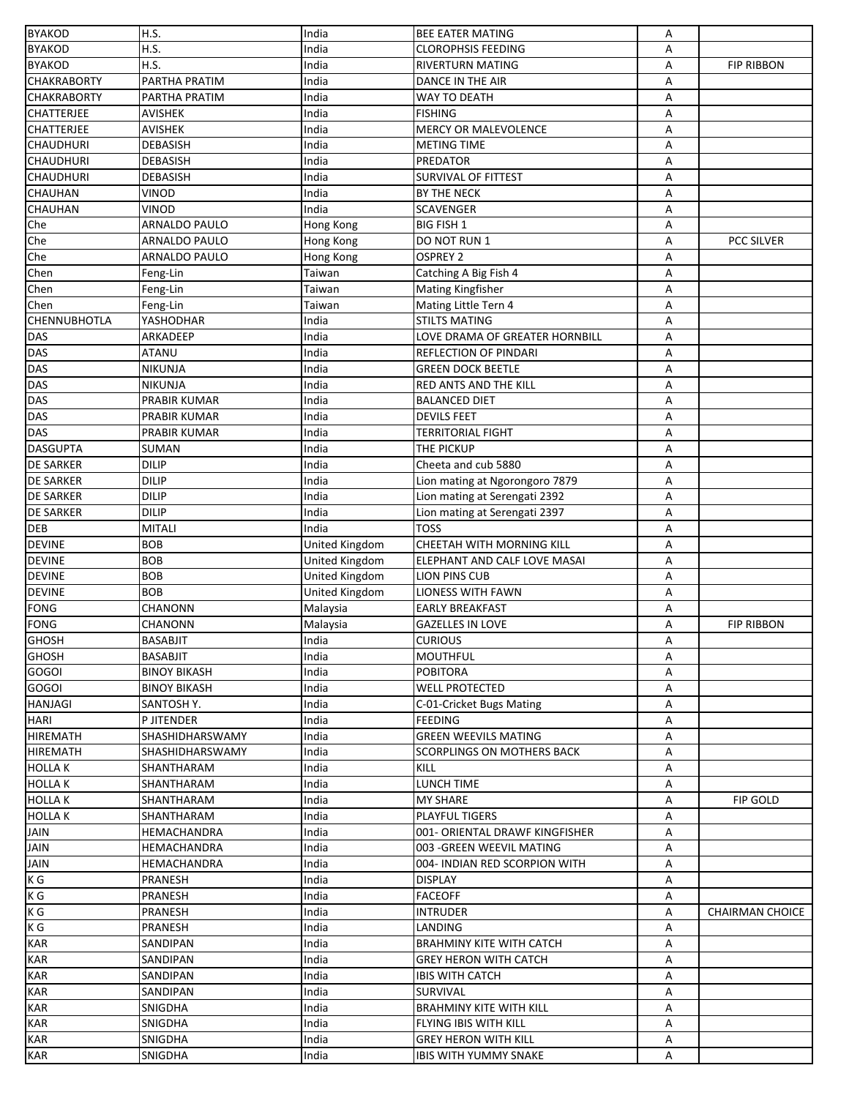| <b>BYAKOD</b>              | H.S.                   | India          | <b>BEE EATER MATING</b>          | Α      |                        |
|----------------------------|------------------------|----------------|----------------------------------|--------|------------------------|
| <b>BYAKOD</b>              | H.S.                   | India          | <b>CLOROPHSIS FEEDING</b>        | А      |                        |
| <b>BYAKOD</b>              | H.S.                   | India          | <b>RIVERTURN MATING</b>          | Α      | <b>FIP RIBBON</b>      |
| <b>CHAKRABORTY</b>         | PARTHA PRATIM          | India          | DANCE IN THE AIR                 | Α      |                        |
| <b>CHAKRABORTY</b>         | PARTHA PRATIM          | India          | WAY TO DEATH                     | Α      |                        |
| <b>CHATTERJEE</b>          | <b>AVISHEK</b>         | India          | <b>FISHING</b>                   | Α      |                        |
| <b>CHATTERJEE</b>          | AVISHEK                | India          | <b>MERCY OR MALEVOLENCE</b>      | Α      |                        |
| <b>CHAUDHURI</b>           | <b>DEBASISH</b>        | India          | <b>METING TIME</b>               | А      |                        |
| <b>CHAUDHURI</b>           | <b>DEBASISH</b>        | India          | PREDATOR                         | А      |                        |
| <b>CHAUDHURI</b>           | DEBASISH               | India          | <b>SURVIVAL OF FITTEST</b>       | Α      |                        |
| <b>CHAUHAN</b>             | <b>VINOD</b>           | India          | BY THE NECK                      | Α      |                        |
| <b>CHAUHAN</b>             | VINOD                  | India          | SCAVENGER                        | Α      |                        |
| Che                        | ARNALDO PAULO          | Hong Kong      | <b>BIG FISH 1</b>                | Α      |                        |
| Che                        | ARNALDO PAULO          | Hong Kong      | DO NOT RUN 1                     | A      | <b>PCC SILVER</b>      |
| Che                        | <b>ARNALDO PAULO</b>   | Hong Kong      | OSPREY 2                         | Α      |                        |
| Chen                       | Feng-Lin               | Taiwan         | Catching A Big Fish 4            | Α      |                        |
| Chen                       | Feng-Lin               | Taiwan         | <b>Mating Kingfisher</b>         | Α      |                        |
| Chen                       | Feng-Lin               | Taiwan         | Mating Little Tern 4             | Α      |                        |
| <b>CHENNUBHOTLA</b>        | YASHODHAR              | India          | <b>STILTS MATING</b>             | Α      |                        |
| <b>DAS</b>                 | ARKADEEP               | India          | LOVE DRAMA OF GREATER HORNBILL   | А      |                        |
| <b>DAS</b>                 | <b>ATANU</b>           | India          | REFLECTION OF PINDARI            | А      |                        |
| <b>DAS</b>                 | <b>NIKUNJA</b>         | India          | GREEN DOCK BEETLE                | Α      |                        |
| <b>DAS</b>                 | NIKUNJA                | India          | RED ANTS AND THE KILL            | А      |                        |
| <b>DAS</b>                 | PRABIR KUMAR           | ndia           | <b>BALANCED DIET</b>             | А      |                        |
| <b>DAS</b>                 | PRABIR KUMAR           | India          | <b>DEVILS FEET</b>               | Α      |                        |
| <b>DAS</b>                 | PRABIR KUMAR           | India          | <b>TERRITORIAL FIGHT</b>         | А      |                        |
| <b>DASGUPTA</b>            | SUMAN                  | India          | THE PICKUP                       | Α      |                        |
| <b>DE SARKER</b>           | <b>DILIP</b>           | India          | Cheeta and cub 5880              | Α      |                        |
| <b>DE SARKER</b>           | <b>DILIP</b>           | India          | Lion mating at Ngorongoro 7879   | Α      |                        |
| <b>DE SARKER</b>           | <b>DILIP</b>           | India          | Lion mating at Serengati 2392    | Α      |                        |
| <b>DE SARKER</b>           | <b>DILIP</b>           | India          | Lion mating at Serengati 2397    | Α      |                        |
| <b>DEB</b>                 | <b>MITALI</b>          | India          | <b>TOSS</b>                      | Α      |                        |
| <b>DEVINE</b>              | <b>BOB</b>             | United Kingdom | <b>CHEETAH WITH MORNING KILL</b> | А      |                        |
| <b>DEVINE</b>              | <b>BOB</b>             | United Kingdom | ELEPHANT AND CALF LOVE MASAI     | А      |                        |
| <b>DEVINE</b>              | <b>BOB</b>             | United Kingdom | LION PINS CUB                    | А      |                        |
| <b>DEVINE</b>              | <b>BOB</b>             | United Kingdom | LIONESS WITH FAWN                | Α      |                        |
| <b>FONG</b>                | CHANONN                | Malaysia       | <b>EARLY BREAKFAST</b>           | Α      |                        |
| <b>FONG</b>                | CHANONN                | Malaysia       | <b>GAZELLES IN LOVE</b>          | Α      | <b>FIP RIBBON</b>      |
| <b>GHOSH</b>               | <b>BASABJIT</b>        | India          | <b>CURIOUS</b>                   | А      |                        |
| <b>GHOSH</b>               | <b>BASABJIT</b>        | India          | <b>MOUTHFUL</b>                  | Α      |                        |
| <b>GOGOI</b>               | <b>BINOY BIKASH</b>    | India          | POBITORA                         | А      |                        |
| <b>GOGOI</b>               | <b>BINOY BIKASH</b>    | India          | <b>WELL PROTECTED</b>            | А      |                        |
| <b>HANJAGI</b>             | SANTOSH Y.             | India          | C-01-Cricket Bugs Mating         | А      |                        |
| <b>HARI</b>                | P JITENDER             | India          | <b>FEEDING</b>                   | А      |                        |
| <b>HIREMATH</b>            | SHASHIDHARSWAMY        | India          | <b>GREEN WEEVILS MATING</b>      | А      |                        |
| <b>HIREMATH</b>            | <b>SHASHIDHARSWAMY</b> | India          | SCORPLINGS ON MOTHERS BACK       | А      |                        |
| <b>HOLLAK</b>              | SHANTHARAM             | India          | KILL                             | Α      |                        |
| <b>HOLLAK</b>              | SHANTHARAM             | India          | LUNCH TIME                       | Α      |                        |
| <b>HOLLAK</b>              | SHANTHARAM             | India          | <b>MY SHARE</b>                  | А      | FIP GOLD               |
| <b>HOLLAK</b>              | SHANTHARAM             | India          | <b>PLAYFUL TIGERS</b>            | А      |                        |
| <b>JAIN</b>                | HEMACHANDRA            | India          | 001- ORIENTAL DRAWF KINGFISHER   | А      |                        |
| <b>JAIN</b><br><b>JAIN</b> | HEMACHANDRA            | India          | 003 - GREEN WEEVIL MATING        | А      |                        |
| $K\overline{G}$            | HEMACHANDRA            | India          | 004- INDIAN RED SCORPION WITH    | А      |                        |
|                            | PRANESH                | India          | <b>DISPLAY</b>                   | А      |                        |
| K G<br>K G                 | PRANESH<br>PRANESH     | India<br>India | <b>FACEOFF</b><br>INTRUDER       | Α<br>Α | <b>CHAIRMAN CHOICE</b> |
| K G                        | PRANESH                | India          | LANDING                          | А      |                        |
| <b>KAR</b>                 | SANDIPAN               | India          | <b>BRAHMINY KITE WITH CATCH</b>  | А      |                        |
| <b>KAR</b>                 | SANDIPAN               | India          | <b>GREY HERON WITH CATCH</b>     | Α      |                        |
| <b>KAR</b>                 | SANDIPAN               | India          | IBIS WITH CATCH                  | А      |                        |
| <b>KAR</b>                 | SANDIPAN               | India          | SURVIVAL                         | А      |                        |
| <b>KAR</b>                 | SNIGDHA                | India          | <b>BRAHMINY KITE WITH KILL</b>   | А      |                        |
| <b>KAR</b>                 | SNIGDHA                | India          | FLYING IBIS WITH KILL            | А      |                        |
| <b>KAR</b>                 | SNIGDHA                | India          | <b>GREY HERON WITH KILL</b>      | Α      |                        |
| <b>KAR</b>                 | SNIGDHA                | India          | <b>IBIS WITH YUMMY SNAKE</b>     | А      |                        |
|                            |                        |                |                                  |        |                        |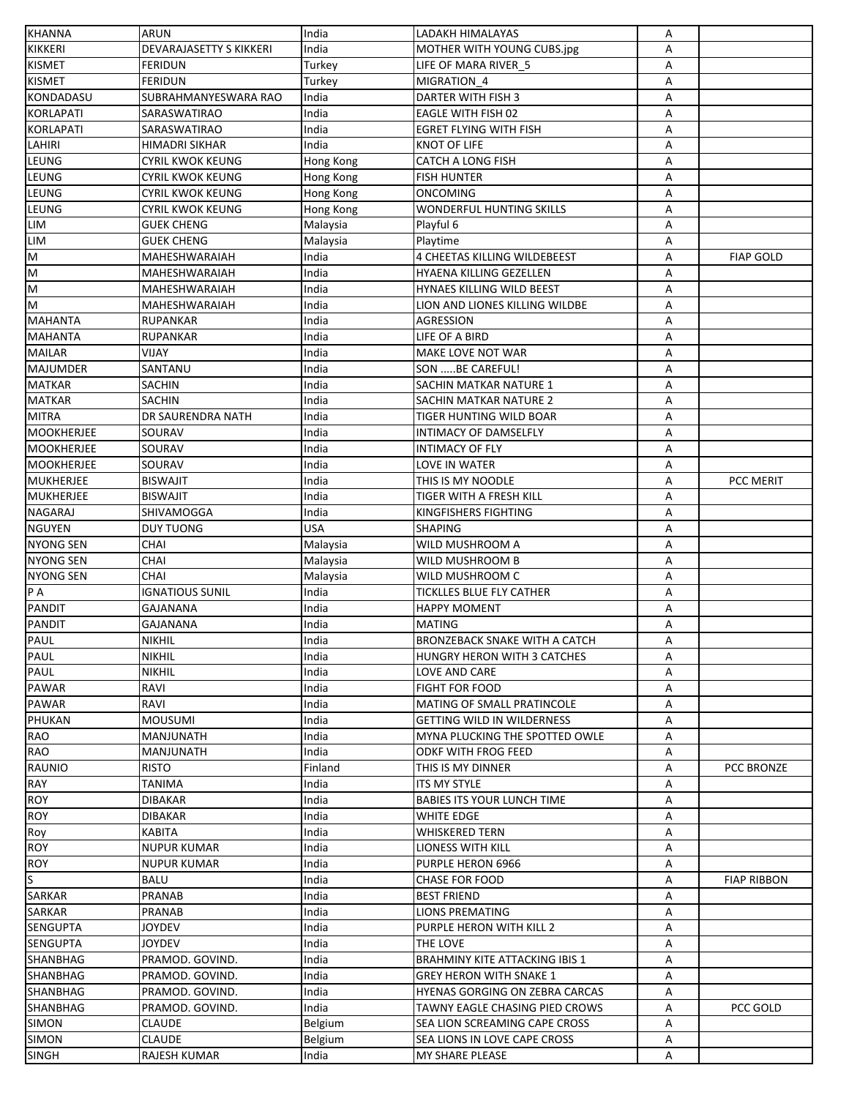| <b>KHANNA</b>           | ARUN                           | India     | LADAKH HIMALAYAS                      | Α      |                    |
|-------------------------|--------------------------------|-----------|---------------------------------------|--------|--------------------|
| <b>KIKKERI</b>          | <b>DEVARAJASETTY S KIKKERI</b> | India     | MOTHER WITH YOUNG CUBS.jpg            | A      |                    |
| <b>KISMET</b>           | <b>FERIDUN</b>                 | Turkey    | LIFE OF MARA RIVER 5                  | Α      |                    |
| <b>KISMET</b>           | <b>FERIDUN</b>                 | Turkey    | MIGRATION 4                           | Α      |                    |
| <b>KONDADASU</b>        | SUBRAHMANYESWARA RAO           | India     | DARTER WITH FISH 3                    | А      |                    |
| <b>KORLAPATI</b>        | SARASWATIRAO                   | India     | EAGLE WITH FISH 02                    | Α      |                    |
| <b>KORLAPATI</b>        | SARASWATIRAO                   | India     | EGRET FLYING WITH FISH                | Α      |                    |
| LAHIRI                  | HIMADRI SIKHAR                 | India     | KNOT OF LIFE                          | Α      |                    |
| LEUNG                   | CYRIL KWOK KEUNG               | Hong Kong | <b>CATCH A LONG FISH</b>              | А      |                    |
| LEUNG                   | <b>CYRIL KWOK KEUNG</b>        | Hong Kong | <b>FISH HUNTER</b>                    | А      |                    |
| LEUNG                   | CYRIL KWOK KEUNG               | Hong Kong | ONCOMING                              | А      |                    |
| LEUNG                   | CYRIL KWOK KEUNG               | Hong Kong | WONDERFUL HUNTING SKILLS              | Α      |                    |
| <b>LIM</b>              | <b>GUEK CHENG</b>              | Malaysia  | Playful 6                             | Α      |                    |
| LIM                     | <b>GUEK CHENG</b>              | Malaysia  | Playtime                              | Α      |                    |
| $\overline{\mathsf{M}}$ | MAHESHWARAIAH                  | India     | 4 CHEETAS KILLING WILDEBEEST          | Α      | <b>FIAP GOLD</b>   |
| $\overline{\mathsf{M}}$ | MAHESHWARAIAH                  | India     | HYAENA KILLING GEZELLEN               | Α      |                    |
| M                       | MAHESHWARAIAH                  | India     | HYNAES KILLING WILD BEEST             |        |                    |
| $\overline{\mathsf{M}}$ | MAHESHWARAIAH                  | India     | LION AND LIONES KILLING WILDBE        | Α<br>Α |                    |
| <b>MAHANTA</b>          |                                |           |                                       |        |                    |
|                         | <b>RUPANKAR</b>                | India     | AGRESSION                             | А      |                    |
| <b>MAHANTA</b>          | <b>RUPANKAR</b>                | India     | LIFE OF A BIRD                        | А      |                    |
| <b>MAILAR</b>           | VIJAY                          | India     | MAKE LOVE NOT WAR                     | А      |                    |
| <b>MAJUMDER</b>         | SANTANU                        | India     | SON BE CAREFUL!                       | А      |                    |
| <b>MATKAR</b>           | SACHIN                         | India     | SACHIN MATKAR NATURE 1                | А      |                    |
| <b>MATKAR</b>           | SACHIN                         | India     | SACHIN MATKAR NATURE 2                | А      |                    |
| <b>MITRA</b>            | DR SAURENDRA NATH              | India     | TIGER HUNTING WILD BOAR               | Α      |                    |
| <b>MOOKHERJEE</b>       | SOURAV                         | India     | INTIMACY OF DAMSELFLY                 | А      |                    |
| <b>MOOKHERJEE</b>       | SOURAV                         | India     | INTIMACY OF FLY                       | Α      |                    |
| <b>MOOKHERJEE</b>       | SOURAV                         | India     | LOVE IN WATER                         | А      |                    |
| MUKHERJEE               | <b>BISWAJIT</b>                | India     | THIS IS MY NOODLE                     | Α      | PCC MERIT          |
| <b>MUKHERJEE</b>        | <b>BISWAJIT</b>                | India     | TIGER WITH A FRESH KILL               | Α      |                    |
| <b>NAGARAJ</b>          | SHIVAMOGGA                     | India     | KINGFISHERS FIGHTING                  | А      |                    |
| <b>NGUYEN</b>           | <b>DUY TUONG</b>               | USA       | <b>SHAPING</b>                        | Α      |                    |
| <b>NYONG SEN</b>        | <b>CHAI</b>                    | Malaysia  | WILD MUSHROOM A                       | А      |                    |
| <b>NYONG SEN</b>        | CHAI                           | Malaysia  | WILD MUSHROOM B                       | Α      |                    |
| <b>NYONG SEN</b>        | <b>CHAI</b>                    | Malaysia  | WILD MUSHROOM C                       | Α      |                    |
| P A                     | <b>IGNATIOUS SUNIL</b>         | India     | TICKLLES BLUE FLY CATHER              | А      |                    |
| <b>PANDIT</b>           | GAJANANA                       | ndia      | HAPPY MOMENT                          | Α      |                    |
| <b>PANDIT</b>           | GAJANANA                       | India     | <b>MATING</b>                         | Α      |                    |
| PAUL                    | <b>NIKHIL</b>                  | India     | BRONZEBACK SNAKE WITH A CATCH         | A      |                    |
| PAUL                    | <b>NIKHIL</b>                  | India     | HUNGRY HERON WITH 3 CATCHES           | Α      |                    |
| PAUL                    | <b>NIKHIL</b>                  | India     | LOVE AND CARE                         | А      |                    |
| PAWAR                   | RAVI                           | India     | <b>FIGHT FOR FOOD</b>                 | Α      |                    |
| PAWAR                   | RAVI                           | India     | MATING OF SMALL PRATINCOLE            | А      |                    |
| PHUKAN                  | <b>MOUSUMI</b>                 | India     | <b>GETTING WILD IN WILDERNESS</b>     | Α      |                    |
| RAO                     | MANJUNATH                      | India     | MYNA PLUCKING THE SPOTTED OWLE        | Α      |                    |
| <b>RAO</b>              | MANJUNATH                      | India     | ODKF WITH FROG FEED                   | А      |                    |
| <b>RAUNIO</b>           | <b>RISTO</b>                   | Finland   | THIS IS MY DINNER                     | А      | PCC BRONZE         |
| RAY                     | TANIMA                         | India     | ITS MY STYLE                          | А      |                    |
| ROY                     | <b>DIBAKAR</b>                 | India     | BABIES ITS YOUR LUNCH TIME            | А      |                    |
| <b>ROY</b>              | DIBAKAR                        | India     | WHITE EDGE                            | А      |                    |
| Roy                     | <b>KABITA</b>                  | India     | <b>WHISKERED TERN</b>                 | А      |                    |
| <b>ROY</b>              | <b>NUPUR KUMAR</b>             | India     | LIONESS WITH KILL                     | А      |                    |
| <b>ROY</b>              | <b>NUPUR KUMAR</b>             | India     | PURPLE HERON 6966                     | А      |                    |
| S                       | BALU                           | India     | <b>CHASE FOR FOOD</b>                 | А      | <b>FIAP RIBBON</b> |
| SARKAR                  | <b>PRANAB</b>                  | India     | <b>BEST FRIEND</b>                    | А      |                    |
| SARKAR                  | <b>PRANAB</b>                  | India     | <b>LIONS PREMATING</b>                | А      |                    |
| SENGUPTA                | <b>JOYDEV</b>                  | India     | PURPLE HERON WITH KILL 2              | Α      |                    |
| <b>SENGUPTA</b>         | <b>JOYDEV</b>                  | India     | THE LOVE                              | А      |                    |
|                         |                                |           |                                       |        |                    |
| SHANBHAG                | PRAMOD. GOVIND.                | India     | <b>BRAHMINY KITE ATTACKING IBIS 1</b> | А      |                    |
| <b>SHANBHAG</b>         | PRAMOD. GOVIND.                | India     | GREY HERON WITH SNAKE 1               | Α      |                    |
| SHANBHAG                | PRAMOD. GOVIND.                | India     | HYENAS GORGING ON ZEBRA CARCAS        | А      |                    |
| SHANBHAG                | PRAMOD. GOVIND.                | India     | TAWNY EAGLE CHASING PIED CROWS        | Α      | PCC GOLD           |
| <b>SIMON</b>            | CLAUDE                         | Belgium   | SEA LION SCREAMING CAPE CROSS         | А      |                    |
| <b>SIMON</b>            | <b>CLAUDE</b>                  | Belgium   | SEA LIONS IN LOVE CAPE CROSS          | Α      |                    |
| <b>SINGH</b>            | RAJESH KUMAR                   | India     | MY SHARE PLEASE                       | А      |                    |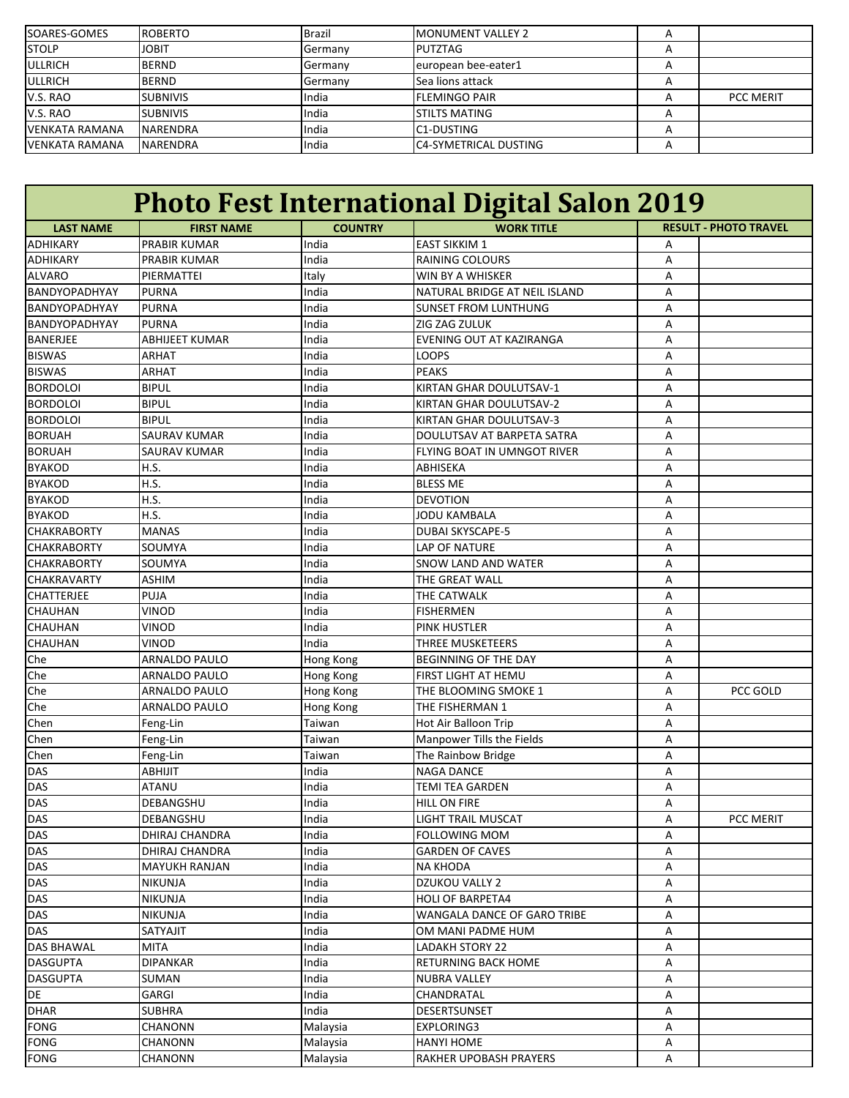| SOARES-GOMES          | <b>ROBERTO</b>  | Brazil  | <b>IMONUMENT VALLEY 2</b>    |                  |
|-----------------------|-----------------|---------|------------------------------|------------------|
| <b>STOLP</b>          | <b>JOBIT</b>    | Germany | PUTZTAG                      |                  |
| <b>ULLRICH</b>        | <b>BERND</b>    | Germany | european bee-eater1          |                  |
| <b>ULLRICH</b>        | <b>BERND</b>    | Germany | Sea lions attack             |                  |
| V.S. RAO              | <b>SUBNIVIS</b> | India   | <b>IFLEMINGO PAIR</b>        | <b>PCC MERIT</b> |
| V.S. RAO              | <b>SUBNIVIS</b> | India   | <b>ISTILTS MATING</b>        |                  |
| <b>VENKATA RAMANA</b> | <b>NARENDRA</b> | India   | IC1-DUSTING                  |                  |
| VENKATA RAMANA        | <b>NARENDRA</b> | India   | <b>C4-SYMETRICAL DUSTING</b> |                  |

| <b>Photo Fest International Digital Salon 2019</b> |                       |                                     |                                 |   |           |  |
|----------------------------------------------------|-----------------------|-------------------------------------|---------------------------------|---|-----------|--|
| <b>LAST NAME</b>                                   | <b>FIRST NAME</b>     | <b>COUNTRY</b><br><b>WORK TITLE</b> |                                 |   |           |  |
| <b>ADHIKARY</b>                                    | <b>PRABIR KUMAR</b>   | India                               | <b>EAST SIKKIM 1</b>            | Α |           |  |
| <b>ADHIKARY</b>                                    | <b>PRABIR KUMAR</b>   | India                               | <b>RAINING COLOURS</b>          | Α |           |  |
| <b>ALVARO</b>                                      | PIERMATTEI            | Italy                               | WIN BY A WHISKER                | Α |           |  |
| BANDYOPADHYAY                                      | <b>PURNA</b>          | India                               | NATURAL BRIDGE AT NEIL ISLAND   | Α |           |  |
| BANDYOPADHYAY                                      | <b>PURNA</b>          | India                               | <b>SUNSET FROM LUNTHUNG</b>     | Α |           |  |
| BANDYOPADHYAY                                      | <b>PURNA</b>          | India                               | ZIG ZAG ZULUK                   | А |           |  |
| <b>BANERJEE</b>                                    | <b>ABHIJEET KUMAR</b> | India                               | <b>EVENING OUT AT KAZIRANGA</b> | А |           |  |
| <b>BISWAS</b>                                      | <b>ARHAT</b>          | India                               | LOOPS                           | Α |           |  |
| <b>BISWAS</b>                                      | <b>ARHAT</b>          | India                               | <b>PEAKS</b>                    | Α |           |  |
| <b>BORDOLOI</b>                                    | <b>BIPUL</b>          | India                               | KIRTAN GHAR DOULUTSAV-1         | Α |           |  |
| <b>BORDOLOI</b>                                    | <b>BIPUL</b>          | India                               | KIRTAN GHAR DOULUTSAV-2         | A |           |  |
| <b>BORDOLOI</b>                                    | <b>BIPUL</b>          | India                               | KIRTAN GHAR DOULUTSAV-3         | A |           |  |
| <b>BORUAH</b>                                      | <b>SAURAV KUMAR</b>   | India                               | DOULUTSAV AT BARPETA SATRA      | А |           |  |
| <b>BORUAH</b>                                      | <b>SAURAV KUMAR</b>   | India                               | FLYING BOAT IN UMNGOT RIVER     | A |           |  |
| <b>BYAKOD</b>                                      | H.S.                  | India                               | ABHISEKA                        | А |           |  |
| <b>BYAKOD</b>                                      | H.S.                  | India                               | <b>BLESS ME</b>                 | Α |           |  |
| <b>BYAKOD</b>                                      | H.S.                  | India                               | <b>DEVOTION</b>                 | A |           |  |
| <b>BYAKOD</b>                                      | H.S.                  | India                               | <b>JODU KAMBALA</b>             | Α |           |  |
| <b>CHAKRABORTY</b>                                 | <b>MANAS</b>          | India                               | <b>DUBAI SKYSCAPE-5</b>         | Α |           |  |
| <b>CHAKRABORTY</b>                                 | SOUMYA                | India                               | <b>LAP OF NATURE</b>            | Α |           |  |
| <b>CHAKRABORTY</b>                                 | SOUMYA                | India                               | <b>SNOW LAND AND WATER</b>      | Α |           |  |
| <b>CHAKRAVARTY</b>                                 | <b>ASHIM</b>          | India                               | THE GREAT WALL                  | Α |           |  |
| <b>CHATTERJEE</b>                                  | PUJA                  | India                               | THE CATWALK                     | Α |           |  |
| CHAUHAN                                            | <b>VINOD</b>          | India                               | <b>FISHERMEN</b>                | Α |           |  |
| <b>CHAUHAN</b>                                     | <b>VINOD</b>          | India                               | <b>PINK HUSTLER</b>             | A |           |  |
| CHAUHAN                                            | <b>VINOD</b>          | India                               | THREE MUSKETEERS                | Α |           |  |
| Che                                                | <b>ARNALDO PAULO</b>  | Hong Kong                           | <b>BEGINNING OF THE DAY</b>     | Α |           |  |
| Che                                                | <b>ARNALDO PAULO</b>  | Hong Kong                           | FIRST LIGHT AT HEMU             | Α |           |  |
| Che                                                | <b>ARNALDO PAULO</b>  | Hong Kong                           | THE BLOOMING SMOKE 1            | Α | PCC GOLD  |  |
| Che                                                | <b>ARNALDO PAULO</b>  | Hong Kong                           | THE FISHERMAN 1                 | Α |           |  |
| Chen                                               | Feng-Lin              | Taiwan                              | <b>Hot Air Balloon Trip</b>     | Α |           |  |
| Chen                                               | Feng-Lin              | Taiwan                              | Manpower Tills the Fields       | Α |           |  |
| Chen                                               | Feng-Lin              | Taiwan                              | The Rainbow Bridge              | Α |           |  |
| <b>DAS</b>                                         | <b>ABHIJIT</b>        | India                               | <b>NAGA DANCE</b>               | Α |           |  |
| <b>DAS</b>                                         | <b>ATANU</b>          | India                               | <b>TEMI TEA GARDEN</b>          | Α |           |  |
| <b>DAS</b>                                         | DEBANGSHU             | India                               | <b>HILL ON FIRE</b>             | A |           |  |
| <b>DAS</b>                                         | <b>DEBANGSHU</b>      | India                               | <b>LIGHT TRAIL MUSCAT</b>       | Α | PCC MERIT |  |
| DAS                                                | DHIRAJ CHANDRA        | India                               | <b>FOLLOWING MOM</b>            | Α |           |  |
| <b>DAS</b>                                         | DHIRAJ CHANDRA        | India                               | <b>GARDEN OF CAVES</b>          | Α |           |  |
| <b>DAS</b>                                         | <b>MAYUKH RANJAN</b>  | India                               | <b>NA KHODA</b>                 | Α |           |  |
| <b>DAS</b>                                         | <b>NIKUNJA</b>        | India                               | <b>DZUKOU VALLY 2</b>           | Α |           |  |
| <b>DAS</b>                                         | <b>NIKUNJA</b>        | India                               | <b>HOLI OF BARPETA4</b>         | Α |           |  |
| <b>DAS</b>                                         | <b>NIKUNJA</b>        | India                               | WANGALA DANCE OF GARO TRIBE     | Α |           |  |
| DAS                                                | SATYAJIT              | India                               | OM MANI PADME HUM               | Α |           |  |
| <b>DAS BHAWAL</b>                                  | <b>MITA</b>           | India                               | <b>LADAKH STORY 22</b>          | Α |           |  |
| <b>DASGUPTA</b>                                    | <b>DIPANKAR</b>       | India                               | <b>RETURNING BACK HOME</b>      | Α |           |  |
| <b>DASGUPTA</b>                                    | <b>SUMAN</b>          | India                               | <b>NUBRA VALLEY</b>             | Α |           |  |
| DE                                                 | GARGI                 | India                               | CHANDRATAL                      | Α |           |  |
| <b>DHAR</b>                                        | <b>SUBHRA</b>         | India                               | DESERTSUNSET                    | Α |           |  |
| <b>FONG</b>                                        | CHANONN               | Malaysia                            | EXPLORING3                      | Α |           |  |
| <b>FONG</b>                                        | CHANONN               | Malaysia                            | HANYI HOME                      | Α |           |  |
| <b>FONG</b>                                        | <b>CHANONN</b>        | Malaysia                            | RAKHER UPOBASH PRAYERS          | Α |           |  |
|                                                    |                       |                                     |                                 |   |           |  |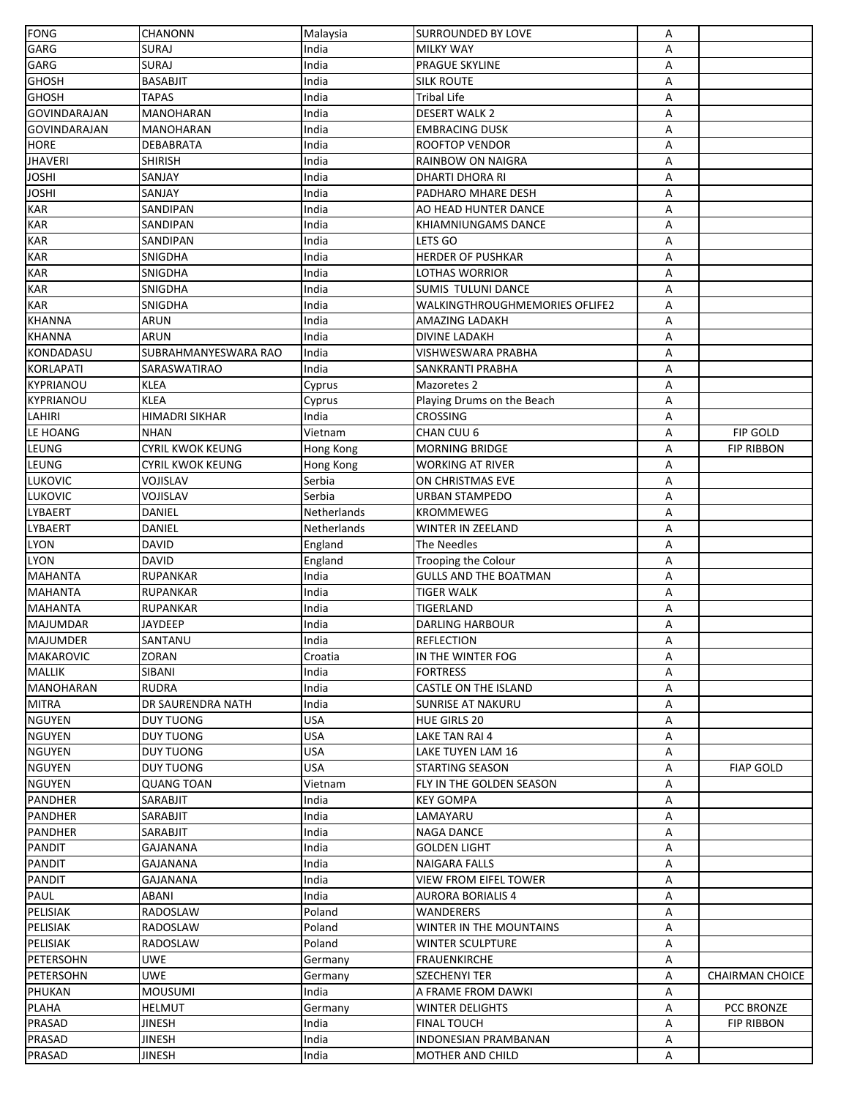| <b>FONG</b>         | <b>CHANONN</b>          | Malaysia    | <b>SURROUNDED BY LOVE</b>      | Α |                        |
|---------------------|-------------------------|-------------|--------------------------------|---|------------------------|
| GARG                | <b>SURAJ</b>            | India       | <b>MILKY WAY</b>               | Α |                        |
| <b>GARG</b>         | <b>SURAJ</b>            | India       | <b>PRAGUE SKYLINE</b>          | Α |                        |
| <b>GHOSH</b>        | <b>BASABJIT</b>         | India       | <b>SILK ROUTE</b>              | Α |                        |
| <b>GHOSH</b>        | <b>TAPAS</b>            | India       | <b>Tribal Life</b>             | Α |                        |
| <b>GOVINDARAJAN</b> | MANOHARAN               | India       | <b>DESERT WALK 2</b>           | Α |                        |
| <b>GOVINDARAJAN</b> | MANOHARAN               | India       | <b>EMBRACING DUSK</b>          | А |                        |
| <b>HORE</b>         | <b>DEBABRATA</b>        | India       | <b>ROOFTOP VENDOR</b>          | Α |                        |
| <b>JHAVERI</b>      | SHIRISH                 | India       | RAINBOW ON NAIGRA              | А |                        |
| JOSHI               | SANJAY                  | India       | DHARTI DHORA RI                | А |                        |
| <b>JOSHI</b>        | SANJAY                  | India       | PADHARO MHARE DESH             | А |                        |
| <b>KAR</b>          | SANDIPAN                | India       | AO HEAD HUNTER DANCE           | Α |                        |
| <b>KAR</b>          | SANDIPAN                | India       | KHIAMNIUNGAMS DANCE            | А |                        |
| KAR                 | SANDIPAN                | India       | LETS GO                        | A |                        |
| <b>KAR</b>          | SNIGDHA                 | India       | HERDER OF PUSHKAR              | А |                        |
| <b>KAR</b>          | SNIGDHA                 | India       | LOTHAS WORRIOR                 | А |                        |
| <b>KAR</b>          | SNIGDHA                 | India       | <b>SUMIS TULUNI DANCE</b>      | А |                        |
| <b>KAR</b>          | SNIGDHA                 | India       | WALKINGTHROUGHMEMORIES OFLIFE2 | Α |                        |
| <b>KHANNA</b>       | ARUN                    | India       | AMAZING LADAKH                 | А |                        |
| <b>KHANNA</b>       | <b>ARUN</b>             | India       | DIVINE LADAKH                  | А |                        |
| KONDADASU           | SUBRAHMANYESWARA RAO    | India       | VISHWESWARA PRABHA             | А |                        |
|                     |                         |             | SANKRANTI PRABHA               |   |                        |
| <b>KORLAPATI</b>    | SARASWATIRAO            | India       |                                | А |                        |
| <b>KYPRIANOU</b>    | <b>KLEA</b>             | Cyprus      | Mazoretes 2                    | А |                        |
| KYPRIANOU           | <b>KLEA</b>             | Cyprus      | Playing Drums on the Beach     | А |                        |
| LAHIRI              | <b>HIMADRI SIKHAR</b>   | India       | CROSSING                       | Α |                        |
| LE HOANG            | <b>NHAN</b>             | Vietnam     | CHAN CUU 6                     | А | FIP GOLD               |
| LEUNG               | <b>CYRIL KWOK KEUNG</b> | Hong Kong   | <b>MORNING BRIDGE</b>          | Α | <b>FIP RIBBON</b>      |
| LEUNG               | <b>CYRIL KWOK KEUNG</b> | Hong Kong   | WORKING AT RIVER               | A |                        |
| <b>LUKOVIC</b>      | VOJISLAV                | Serbia      | ON CHRISTMAS EVE               | Α |                        |
| LUKOVIC             | VOJISLAV                | Serbia      | URBAN STAMPEDO                 | Α |                        |
| <b>LYBAERT</b>      | <b>DANIEL</b>           | Netherlands | <b>KROMMEWEG</b>               | Α |                        |
| <b>LYBAERT</b>      | DANIEL                  | Netherlands | WINTER IN ZEELAND              | А |                        |
| <b>LYON</b>         | <b>DAVID</b>            | England     | The Needles                    | А |                        |
| <b>LYON</b>         | <b>DAVID</b>            | England     | Trooping the Colour            | Α |                        |
| <b>MAHANTA</b>      | <b>RUPANKAR</b>         | India       | <b>GULLS AND THE BOATMAN</b>   | А |                        |
| <b>MAHANTA</b>      | RUPANKAR                | India       | <b>TIGER WALK</b>              | А |                        |
| <b>MAHANTA</b>      | <b>RUPANKAR</b>         | India       | TIGERLAND                      | А |                        |
| <b>MAJUMDAR</b>     | JAYDEEP                 | India       | <b>DARLING HARBOUR</b>         | Α |                        |
| <b>MAJUMDER</b>     | SANTANU                 | India       | <b>REFLECTION</b>              | A |                        |
| <b>MAKAROVIC</b>    | ZORAN                   | Croatia     | IN THE WINTER FOG              | Α |                        |
| <b>MALLIK</b>       | SIBANI                  | India       | <b>FORTRESS</b>                | Α |                        |
| MANOHARAN           | <b>RUDRA</b>            | India       | <b>CASTLE ON THE ISLAND</b>    | А |                        |
| <b>MITRA</b>        | DR SAURENDRA NATH       | India       | <b>SUNRISE AT NAKURU</b>       | А |                        |
| <b>NGUYEN</b>       | <b>DUY TUONG</b>        | USA         | <b>HUE GIRLS 20</b>            | А |                        |
| <b>NGUYEN</b>       | <b>DUY TUONG</b>        | <b>USA</b>  | LAKE TAN RAI 4                 | А |                        |
| <b>NGUYEN</b>       | <b>DUY TUONG</b>        | USA         | LAKE TUYEN LAM 16              | А |                        |
| <b>NGUYEN</b>       | <b>DUY TUONG</b>        | USA         | <b>STARTING SEASON</b>         | Α | <b>FIAP GOLD</b>       |
| <b>NGUYEN</b>       | <b>QUANG TOAN</b>       | Vietnam     | FLY IN THE GOLDEN SEASON       | Α |                        |
| PANDHER             | SARABJIT                | India       | KEY GOMPA                      | А |                        |
| <b>PANDHER</b>      | SARABJIT                | India       | LAMAYARU                       | А |                        |
| <b>PANDHER</b>      | SARABJIT                | India       | <b>NAGA DANCE</b>              | А |                        |
| <b>PANDIT</b>       | GAJANANA                | India       | GOLDEN LIGHT                   | А |                        |
| PANDIT              | GAJANANA                | India       | NAIGARA FALLS                  | А |                        |
| <b>PANDIT</b>       | GAJANANA                | India       | <b>VIEW FROM EIFEL TOWER</b>   | А |                        |
| PAUL                | ABANI                   | India       | <b>AURORA BORIALIS 4</b>       | А |                        |
| <b>PELISIAK</b>     | RADOSLAW                | Poland      | WANDERERS                      | Α |                        |
| PELISIAK            | RADOSLAW                | Poland      | WINTER IN THE MOUNTAINS        | А |                        |
| PELISIAK            | RADOSLAW                | Poland      | WINTER SCULPTURE               | А |                        |
| PETERSOHN           | <b>UWE</b>              | Germany     | <b>FRAUENKIRCHE</b>            | А |                        |
| PETERSOHN           | UWE                     | Germany     | SZECHENYI TER                  | А | <b>CHAIRMAN CHOICE</b> |
| PHUKAN              | <b>MOUSUMI</b>          | India       | A FRAME FROM DAWKI             | А |                        |
| <b>PLAHA</b>        | <b>HELMUT</b>           | Germany     | WINTER DELIGHTS                | А | PCC BRONZE             |
| PRASAD              | JINESH                  | India       | <b>FINAL TOUCH</b>             | А | <b>FIP RIBBON</b>      |
| <b>PRASAD</b>       | <b>JINESH</b>           | India       | <b>INDONESIAN PRAMBANAN</b>    | А |                        |
| <b>PRASAD</b>       | <b>JINESH</b>           | India       | MOTHER AND CHILD               | А |                        |
|                     |                         |             |                                |   |                        |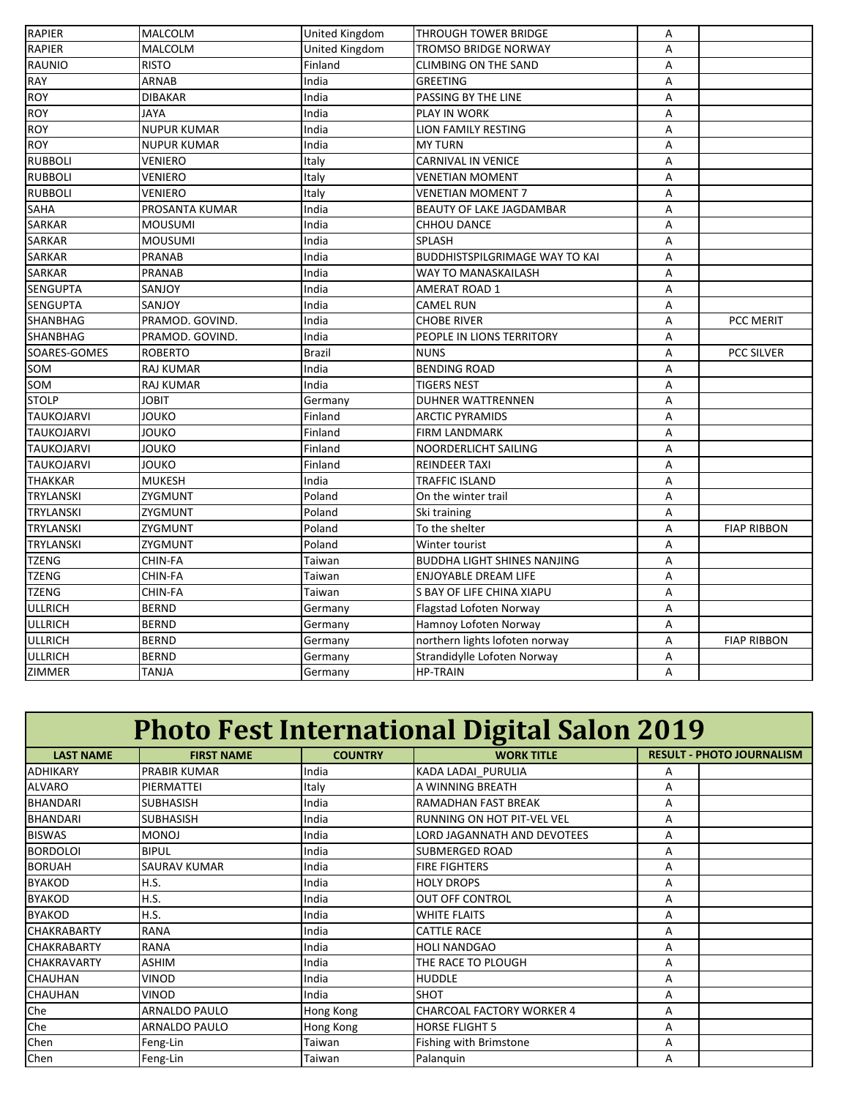| <b>RAPIER</b>     | <b>MALCOLM</b>     | <b>United Kingdom</b> | <b>THROUGH TOWER BRIDGE</b>           | А |                    |
|-------------------|--------------------|-----------------------|---------------------------------------|---|--------------------|
| <b>RAPIER</b>     | <b>MALCOLM</b>     | United Kingdom        | <b>TROMSO BRIDGE NORWAY</b>           | Α |                    |
| <b>RAUNIO</b>     | <b>RISTO</b>       | Finland               | <b>CLIMBING ON THE SAND</b>           | A |                    |
| <b>RAY</b>        | ARNAB              | India                 | <b>GREETING</b>                       | А |                    |
| <b>ROY</b>        | <b>DIBAKAR</b>     | India                 | PASSING BY THE LINE                   | А |                    |
| <b>ROY</b>        | <b>JAYA</b>        | India                 | PLAY IN WORK                          | Α |                    |
| <b>ROY</b>        | <b>NUPUR KUMAR</b> | India                 | LION FAMILY RESTING                   | A |                    |
| <b>ROY</b>        | <b>NUPUR KUMAR</b> | India                 | <b>MY TURN</b>                        | Α |                    |
| <b>RUBBOLI</b>    | <b>VENIERO</b>     | Italy                 | <b>CARNIVAL IN VENICE</b>             | A |                    |
| <b>RUBBOLI</b>    | <b>VENIERO</b>     | Italy                 | <b>VENETIAN MOMENT</b>                | Α |                    |
| <b>RUBBOLI</b>    | VENIERO            | Italy                 | VENETIAN MOMENT 7                     | Α |                    |
| SAHA              | PROSANTA KUMAR     | India                 | BEAUTY OF LAKE JAGDAMBAR              | А |                    |
| <b>SARKAR</b>     | <b>MOUSUMI</b>     | India                 | <b>CHHOU DANCE</b>                    | А |                    |
| <b>SARKAR</b>     | <b>MOUSUMI</b>     | India                 | SPLASH                                | A |                    |
| <b>SARKAR</b>     | <b>PRANAB</b>      | India                 | <b>BUDDHISTSPILGRIMAGE WAY TO KAI</b> | А |                    |
| SARKAR            | <b>PRANAB</b>      | India                 | WAY TO MANASKAILASH                   | А |                    |
| <b>SENGUPTA</b>   | SANJOY             | India                 | AMERAT ROAD 1                         | А |                    |
| <b>SENGUPTA</b>   | SANJOY             | India                 | <b>CAMEL RUN</b>                      | A |                    |
| SHANBHAG          | PRAMOD. GOVIND.    | India                 | <b>CHOBE RIVER</b>                    | Α | PCC MERIT          |
| SHANBHAG          | PRAMOD. GOVIND.    | India                 | PEOPLE IN LIONS TERRITORY             | A |                    |
| SOARES-GOMES      | <b>ROBERTO</b>     | <b>Brazil</b>         | <b>NUNS</b>                           | Α | PCC SILVER         |
| SOM               | <b>RAJ KUMAR</b>   | India                 | <b>BENDING ROAD</b>                   | Α |                    |
| SOM               | RAJ KUMAR          | India                 | <b>TIGERS NEST</b>                    | А |                    |
| <b>STOLP</b>      | <b>JOBIT</b>       | Germany               | <b>DUHNER WATTRENNEN</b>              | А |                    |
| <b>TAUKOJARVI</b> | <b>JOUKO</b>       | Finland               | <b>ARCTIC PYRAMIDS</b>                | А |                    |
| <b>TAUKOJARVI</b> | <b>JOUKO</b>       | Finland               | <b>FIRM LANDMARK</b>                  | А |                    |
| <b>TAUKOJARVI</b> | JOUKO              | Finland               | NOORDERLICHT SAILING                  | Α |                    |
| <b>TAUKOJARVI</b> | <b>JOUKO</b>       | Finland               | <b>REINDEER TAXI</b>                  | Α |                    |
| <b>THAKKAR</b>    | <b>MUKESH</b>      | India                 | <b>TRAFFIC ISLAND</b>                 | A |                    |
| <b>TRYLANSKI</b>  | ZYGMUNT            | Poland                | On the winter trail                   | Α |                    |
| <b>TRYLANSKI</b>  | ZYGMUNT            | Poland                | Ski training                          | А |                    |
| <b>TRYLANSKI</b>  | ZYGMUNT            | Poland                | To the shelter                        | А | <b>FIAP RIBBON</b> |
| <b>TRYLANSKI</b>  | ZYGMUNT            | Poland                | Winter tourist                        | Α |                    |
| <b>TZENG</b>      | CHIN-FA            | Taiwan                | <b>BUDDHA LIGHT SHINES NANJING</b>    | А |                    |
| <b>TZENG</b>      | CHIN-FA            | Taiwan                | ENJOYABLE DREAM LIFE                  | A |                    |
| <b>TZENG</b>      | CHIN-FA            | Taiwan                | S BAY OF LIFE CHINA XIAPU             | А |                    |
| <b>ULLRICH</b>    | <b>BERND</b>       | Germany               | Flagstad Lofoten Norway               | A |                    |
| <b>ULLRICH</b>    | <b>BERND</b>       | Germany               | Hamnoy Lofoten Norway                 | Α |                    |
| <b>ULLRICH</b>    | <b>BERND</b>       | Germany               | northern lights lofoten norway        | А | <b>FIAP RIBBON</b> |
| <b>ULLRICH</b>    | <b>BERND</b>       | Germany               | Strandidylle Lofoten Norway           | А |                    |
| ZIMMER            | <b>TANJA</b>       | Germany               | <b>HP-TRAIN</b>                       | A |                    |

| <b>Photo Fest International Digital Salon 2019</b> |                     |                |                                    |                                  |
|----------------------------------------------------|---------------------|----------------|------------------------------------|----------------------------------|
| <b>LAST NAME</b>                                   | <b>FIRST NAME</b>   | <b>COUNTRY</b> | <b>WORK TITLE</b>                  | <b>RESULT - PHOTO JOURNALISM</b> |
| <b>ADHIKARY</b>                                    | <b>PRABIR KUMAR</b> | India          | KADA LADAI PURULIA                 | A                                |
| <b>ALVARO</b>                                      | PIERMATTEI          | Italy          | A WINNING BREATH                   | A                                |
| <b>BHANDARI</b>                                    | <b>SUBHASISH</b>    | India          | RAMADHAN FAST BREAK                | A                                |
| <b>BHANDARI</b>                                    | <b>SUBHASISH</b>    | India          | RUNNING ON HOT PIT-VEL VEL         | A                                |
| <b>BISWAS</b>                                      | <b>MONOJ</b>        | India          | <b>LORD JAGANNATH AND DEVOTEES</b> | A                                |
| <b>BORDOLOI</b>                                    | <b>BIPUL</b>        | India          | <b>SUBMERGED ROAD</b>              | Α                                |
| <b>BORUAH</b>                                      | SAURAV KUMAR        | India          | <b>FIRE FIGHTERS</b>               | А                                |
| <b>BYAKOD</b>                                      | H.S.                | India          | <b>HOLY DROPS</b>                  | А                                |
| <b>BYAKOD</b>                                      | H.S.                | India          | OUT OFF CONTROL                    | А                                |
| <b>BYAKOD</b>                                      | H.S.                | India          | <b>WHITE FLAITS</b>                | A                                |
| <b>CHAKRABARTY</b>                                 | <b>RANA</b>         | India          | <b>CATTLE RACE</b>                 | A                                |
| <b>CHAKRABARTY</b>                                 | <b>RANA</b>         | India          | <b>HOLI NANDGAO</b>                | A                                |
| <b>CHAKRAVARTY</b>                                 | <b>ASHIM</b>        | India          | THE RACE TO PLOUGH                 | A                                |
| <b>CHAUHAN</b>                                     | <b>VINOD</b>        | India          | <b>HUDDLE</b>                      | A                                |
| <b>CHAUHAN</b>                                     | <b>VINOD</b>        | India          | <b>SHOT</b>                        | A                                |
| Che                                                | ARNALDO PAULO       | Hong Kong      | <b>CHARCOAL FACTORY WORKER 4</b>   | Α                                |
| Che                                                | ARNALDO PAULO       | Hong Kong      | <b>HORSE FLIGHT 5</b>              | A                                |
| Chen                                               | Feng-Lin            | Taiwan         | Fishing with Brimstone             | A                                |
| Chen                                               | Feng-Lin            | Taiwan         | Palanguin                          | А                                |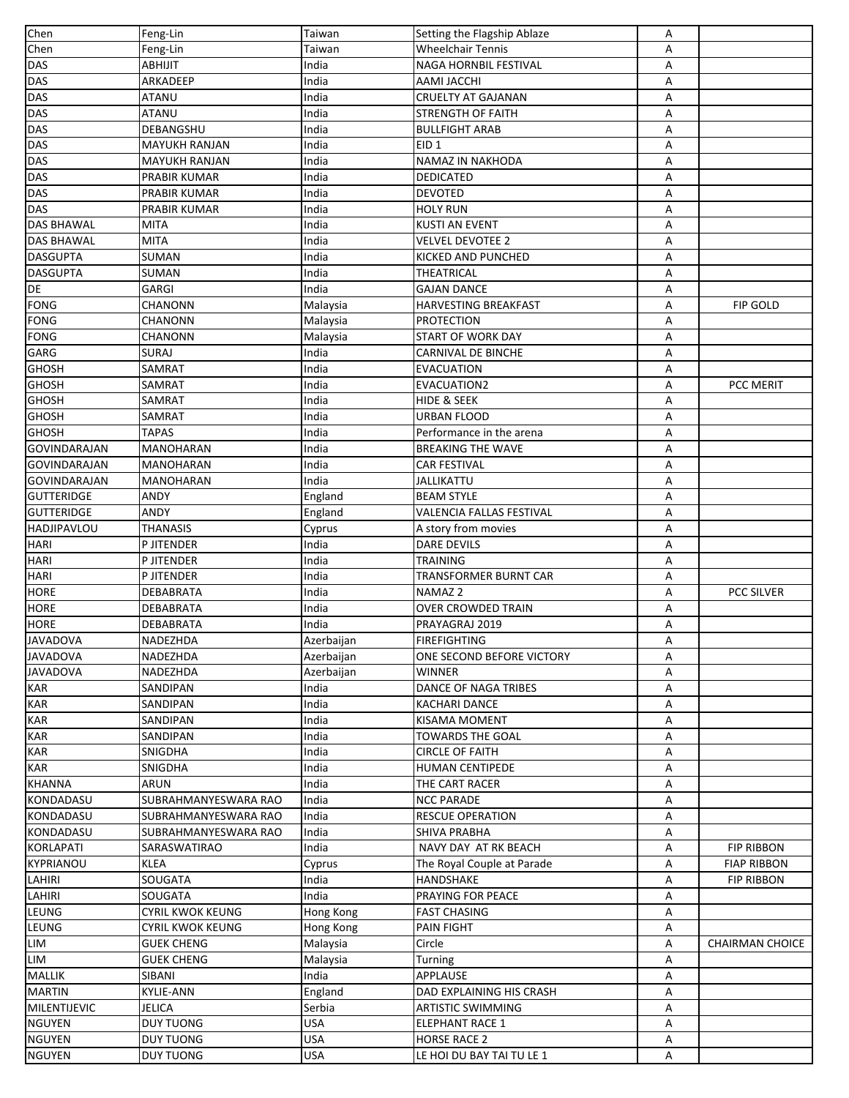| Chen                | Feng-Lin                | Taiwan                   | Setting the Flagship Ablaze | А      |                        |
|---------------------|-------------------------|--------------------------|-----------------------------|--------|------------------------|
| Chen                | Feng-Lin                | Taiwan                   | <b>Wheelchair Tennis</b>    | A      |                        |
| <b>DAS</b>          | ABHIJIT                 | India                    | NAGA HORNBIL FESTIVAL       | Α      |                        |
| DAS                 | ARKADEEP                | India                    | AAMI JACCHI                 | Α      |                        |
| DAS                 | <b>ATANU</b>            | India                    | <b>CRUELTY AT GAJANAN</b>   | А      |                        |
| <b>DAS</b>          | <b>ATANU</b>            | India                    | <b>STRENGTH OF FAITH</b>    | Α      |                        |
| DAS                 | DEBANGSHU               | India                    | <b>BULLFIGHT ARAB</b>       | А      |                        |
| <b>DAS</b>          | <b>MAYUKH RANJAN</b>    | India                    | EID <sub>1</sub>            | А      |                        |
| <b>DAS</b>          | <b>MAYUKH RANJAN</b>    | India                    | NAMAZ IN NAKHODA            | А      |                        |
| <b>DAS</b>          | PRABIR KUMAR            | India                    | DEDICATED                   | Α      |                        |
| <b>DAS</b>          | PRABIR KUMAR            | India                    | DEVOTED                     | Α      |                        |
| <b>DAS</b>          | PRABIR KUMAR            | India                    | HOLY RUN                    | А      |                        |
| <b>DAS BHAWAL</b>   | MITA                    | India                    | <b>KUSTI AN EVENT</b>       | Α      |                        |
| <b>DAS BHAWAL</b>   | <b>MITA</b>             | India                    | VELVEL DEVOTEE 2            | А      |                        |
| <b>DASGUPTA</b>     | SUMAN                   | India                    | KICKED AND PUNCHED          | А      |                        |
| <b>DASGUPTA</b>     | SUMAN                   | India                    | THEATRICAL                  | Α      |                        |
| DE                  | GARGI                   | India                    | GAJAN DANCE                 |        |                        |
| <b>FONG</b>         | <b>CHANONN</b>          |                          | HARVESTING BREAKFAST        | Α<br>Α | FIP GOLD               |
| <b>FONG</b>         | CHANONN                 | Malaysia                 |                             |        |                        |
|                     |                         | Malaysia                 | <b>PROTECTION</b>           | Α      |                        |
| <b>FONG</b>         | CHANONN                 | Malaysia                 | <b>START OF WORK DAY</b>    | А      |                        |
| <b>GARG</b>         | <b>SURAJ</b>            | India                    | <b>CARNIVAL DE BINCHE</b>   | А      |                        |
| <b>GHOSH</b>        | SAMRAT                  | India                    | <b>EVACUATION</b>           | А      |                        |
| <b>GHOSH</b>        | SAMRAT                  | India                    | EVACUATION2                 | Α      | PCC MERIT              |
| <b>GHOSH</b>        | SAMRAT                  | India                    | HIDE & SEEK                 | Α      |                        |
| <b>GHOSH</b>        | SAMRAT                  | India                    | URBAN FLOOD                 | Α      |                        |
| <b>GHOSH</b>        | <b>TAPAS</b>            | India                    | Performance in the arena    | А      |                        |
| <b>GOVINDARAJAN</b> | MANOHARAN               | India                    | <b>BREAKING THE WAVE</b>    | А      |                        |
| <b>GOVINDARAJAN</b> | MANOHARAN               | India                    | CAR FESTIVAL                | Α      |                        |
| <b>GOVINDARAJAN</b> | MANOHARAN               | India                    | JALLIKATTU                  | А      |                        |
| <b>GUTTERIDGE</b>   | ANDY                    | England                  | <b>BEAM STYLE</b>           | А      |                        |
| <b>GUTTERIDGE</b>   | ANDY                    | England                  | VALENCIA FALLAS FESTIVAL    | А      |                        |
| <b>HADJIPAVLOU</b>  | <b>THANASIS</b>         | Cyprus                   | A story from movies         | А      |                        |
| <b>HARI</b>         | P JITENDER              | India                    | DARE DEVILS                 | Α      |                        |
| <b>HARI</b>         | P JITENDER              | India                    | TRAINING                    | А      |                        |
| <b>HARI</b>         | P JITENDER              | India                    | TRANSFORMER BURNT CAR       | Α      |                        |
| <b>HORE</b>         | DEBABRATA               | India                    | NAMAZ 2                     | А      | <b>PCC SILVER</b>      |
| <b>HORE</b>         | DEBABRATA               | India                    | <b>OVER CROWDED TRAIN</b>   | А      |                        |
| <b>HORE</b>         | <b>DEBABRATA</b>        | India                    | PRAYAGRAJ 2019              | Α      |                        |
| <b>JAVADOVA</b>     | NADEZHDA                | Azerbaijan               | <b>FIREFIGHTING</b>         | A      |                        |
| <b>JAVADOVA</b>     | NADEZHDA                | Azerbaijan               | ONE SECOND BEFORE VICTORY   | Α      |                        |
| <b>JAVADOVA</b>     | NADEZHDA                | Azerbaijan               | WINNER                      | А      |                        |
| <b>KAR</b>          | SANDIPAN                | India                    | <b>DANCE OF NAGA TRIBES</b> | Α      |                        |
| <b>KAR</b>          | SANDIPAN                | India                    | <b>KACHARI DANCE</b>        | А      |                        |
| <b>KAR</b>          | SANDIPAN                | India                    | <b>KISAMA MOMENT</b>        | А      |                        |
| <b>KAR</b>          | SANDIPAN                | India                    | TOWARDS THE GOAL            | А      |                        |
| <b>KAR</b>          | SNIGDHA                 | India                    | CIRCLE OF FAITH             | А      |                        |
| <b>KAR</b>          | SNIGDHA                 | India                    | HUMAN CENTIPEDE             | Α      |                        |
| <b>KHANNA</b>       | ARUN                    | India                    | THE CART RACER              | А      |                        |
| KONDADASU           | SUBRAHMANYESWARA RAO    | India                    | <b>NCC PARADE</b>           | А      |                        |
| KONDADASU           | SUBRAHMANYESWARA RAO    | India                    | <b>RESCUE OPERATION</b>     | А      |                        |
| KONDADASU           | SUBRAHMANYESWARA RAO    | India                    | <b>SHIVA PRABHA</b>         | А      |                        |
| <b>KORLAPATI</b>    | SARASWATIRAO            | India                    | NAVY DAY AT RK BEACH        | А      | <b>FIP RIBBON</b>      |
| KYPRIANOU           | <b>KLEA</b>             | Cyprus                   | The Royal Couple at Parade  | А      | <b>FIAP RIBBON</b>     |
| LAHIRI              | SOUGATA                 | India                    | HANDSHAKE                   | А      | <b>FIP RIBBON</b>      |
| LAHIRI              | SOUGATA                 | India                    | PRAYING FOR PEACE           | А      |                        |
| LEUNG               | <b>CYRIL KWOK KEUNG</b> | Hong Kong                | <b>FAST CHASING</b>         | А      |                        |
| LEUNG               | <b>CYRIL KWOK KEUNG</b> | Hong Kong                | <b>PAIN FIGHT</b>           | А      |                        |
| LIM                 | <b>GUEK CHENG</b>       | Malaysia                 | Circle                      | А      | <b>CHAIRMAN CHOICE</b> |
| LIM                 | <b>GUEK CHENG</b>       |                          |                             |        |                        |
| <b>MALLIK</b>       | SIBANI                  | Malaysia<br>India        | Turning<br>APPLAUSE         | Α<br>А |                        |
| <b>MARTIN</b>       | <b>KYLIE-ANN</b>        |                          | DAD EXPLAINING HIS CRASH    | Α      |                        |
| MILENTIJEVIC        | <b>JELICA</b>           | England                  |                             |        |                        |
|                     |                         | Serbia                   | ARTISTIC SWIMMING           | А      |                        |
| <b>NGUYEN</b>       | <b>DUY TUONG</b>        | <b>USA</b><br><b>USA</b> | <b>ELEPHANT RACE 1</b>      | А      |                        |
| <b>NGUYEN</b>       | <b>DUY TUONG</b>        |                          | <b>HORSE RACE 2</b>         | А      |                        |
| <b>NGUYEN</b>       | <b>DUY TUONG</b>        | <b>USA</b>               | LE HOI DU BAY TAI TU LE 1   | А      |                        |